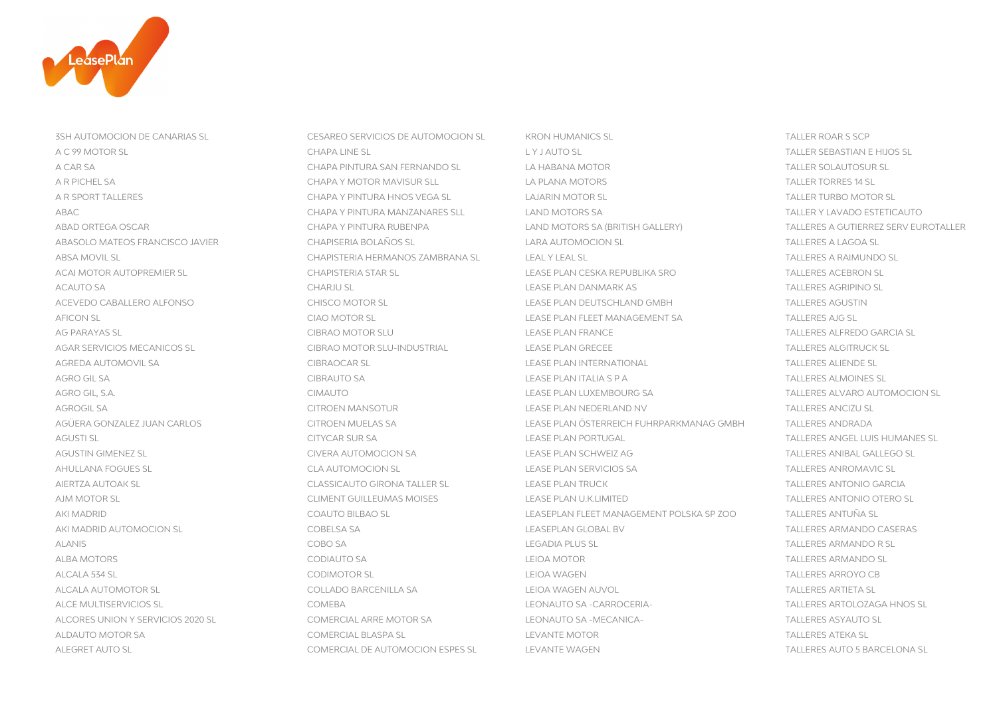

3SH AUTOMOCION DE CANARIAS SL CESAREO SERVICIOS DE AUTOMOCION SL KRON HUMANICS SL TALLER ROAR S SCP ABSA MOVIL SL CHAPISTERIA HERMANOS ZAMBRANA SL LEAL Y LEAL SL AGREDA AUTOMOVIL SA CIBRAOCAR SL CONTRATIONAL TALLERES PLAN INTERNATIONAL AGRO GIL SA LEASE PLAN ITALIA S P A LEASE PLAN ITALIA S P A TALLERES ALMOINES ALMOINES SA LEASE PLAN ITALIA S P A AGROGIL SA CITROEN MANSOTUR LEASE PLAN NEDERLAND NV AHULLANA FOGUES SL CLA AUTOMOCION SL CLA AUTOMOCION SL CLA AUTOMOCION SL CLA AUTOMOCION SL CLA AUTOMOCION SL CLA AIERTZA AUTOAK SL CLASSICAUTO GIRONA TALLER SL CLASSICAUTO GIRONA TALLER SL CHASE PLAN TRUCK AJM MOTOR SL CLIMENT GUILLEUMAS MOISES LEASE PLAN U.K.LIMITED ALCALA AUTOMOTOR SL COLLADO BARCENILLA SA LEIOA WAGEN AUVOL TALLERES ARTIETA SL

A C 99 MOTOR SL CHAPA LINE SL L Y J AUTO SL TALLER SEBASTIAN E HIJOS SL A CAR SA CHAPA PINTURA SAN FERNANDO SL LA HABANA MOTOR TALLER SOLAUTOSUR SL A R PICHEL SA CHAPA Y MOTOR MAVISUR SLL LA PLANA MOTORS CHAPA CHAPA Y MOTOR MAVISUR SLL CHAPA Y LA PLANA MOTORS A R SPORT TALLERES CHAPA Y PINTURA HNOS VEGA SL LAJARIN MOTOR SL TALLER TURBO MOTOR SL ABAC CHAPA Y PINTURA MANZANARES SLL LAND MOTORS SA TALLER Y LAVADO ESTETICAUTO ABAD ORTEGA OSCAR CHAPA Y PINTURA RUBENPA LAND MOTORS SA (BRITISH GALLERY) TALLERES A GUTIERREZ SERV EUROTALLER ABASOLO MATEOS FRANCISCO JAVIER CHAPISERIA BOLAÑOS SL LARA AUTOMOCION SL TALLERES A LAGOA SL ACAI MOTOR AUTOPREMIER SL CHAPISTERIA STAR SL LEASE PLAN CESKA REPUBLIKA SRO TALLERES ACEBRON SL ACAUTO SA CHARJU SL LEASE PLAN DANMARK AS TALLERES AGRIPINO SL ACEVEDO CABALLERO ALFONSO CHISCO MOTOR SL LEASE PLAN DEUTSCHLAND GMBH TALLERES AGUSTIN AFICON SL CIAO MOTOR SL LEASE PLAN FLEET MANAGEMENT SA TALLERES AJG SL AG PARAYAS SL CIBRAO MOTOR SLU LEASE PLAN FRANCE TALLERES ALFREDO GARCIA SL AGAR SERVICIOS MECANICOS SL CIBRAO MOTOR SLU-INDUSTRIAL LEASE PLAN GRECEE SALGITRUCK SLU-INDUSTRIAL LEASE PLAN GRECEE AGRO GIL, S.A. CIMAUTO LEASE PLAN LUXEMBOURG SA TALLERES ALVARO AUTOMOCION SL AGÜERA GONZALEZ JUAN CARLOS CITROEN MUELAS SA LEASE PLAN ÖSTERREICH FUHRPARKMANAG GMBH TALLERES ANDRADA TALLER AGUSTI SL CITYCAR SUR SA LEASE PLAN PORTUGAL TALLERES ANGEL LUIS HUMANES SL AGUSTIN GIMENEZ SI CHERA ALITOMOCION SA LEASE PLAN SCHWEIZ AG TALLERES ANIBAL GALLEGO SL AKI MADRID COAUTO BILBAO SL LEASEPLAN FLEET MANAGEMENT POLSKA SP ZOO TALLERES ANTUÑA SL AKI MADRID AUTOMOCION SL COBELSA SA LEASEPLAN GLOBAL BV TALLERES ARMANDO CASERAS ALANIS COBO SA LEGADIA PLUS SL TALLERES ARMANDO R SL ALBA MOTORS CODIAL CODIALITO SA CODIALITO SA LEIOA MOTOR CODIALITO SA LEIOA MOTOR CODIALITO SA LEIOA MOTOR CODIALITO SA ALCALA 534 SL CODIMOTOR SL LEIOA WAGEN TALLERES ARROYO CB ALCE MULTISERVICIOS SL COMEBA LEONAUTO SA -CARROCERIA- TALLERES ARTOLOZAGA HNOS SL ALCORES UNION Y SERVICIOS 2020 SL COMERCIAL ARRE MOTOR SA LEONAUTO SA -MECANICA- TALLERES ASYAUTO SL ALDAUTO MOTOR SA COMERCIAL BLASPA SLABOVE COMERCIAL BLASPA SLABOVE COMERCIAL BLASPA SLABOVE COMERCIAL BLASPA SL ALEGRET AUTO SL COMERCIAL DE AUTOMOCION ESPES SL LEVANTE WAGEN TALLERES AUTO 5 BARCELONA SL

TALLERES A RAIMUNDO SL **TALLERES ALIENDE SL TALLERES ALMOINES SL TALLERES ANCIZU SL TALLERES ANDRADA** TALLERES ANROMAVIC SL **TALLERES ANTONIO GARCIA** TALLERES ANTONIO OTERO SL **TALLERES ARTIETA SL**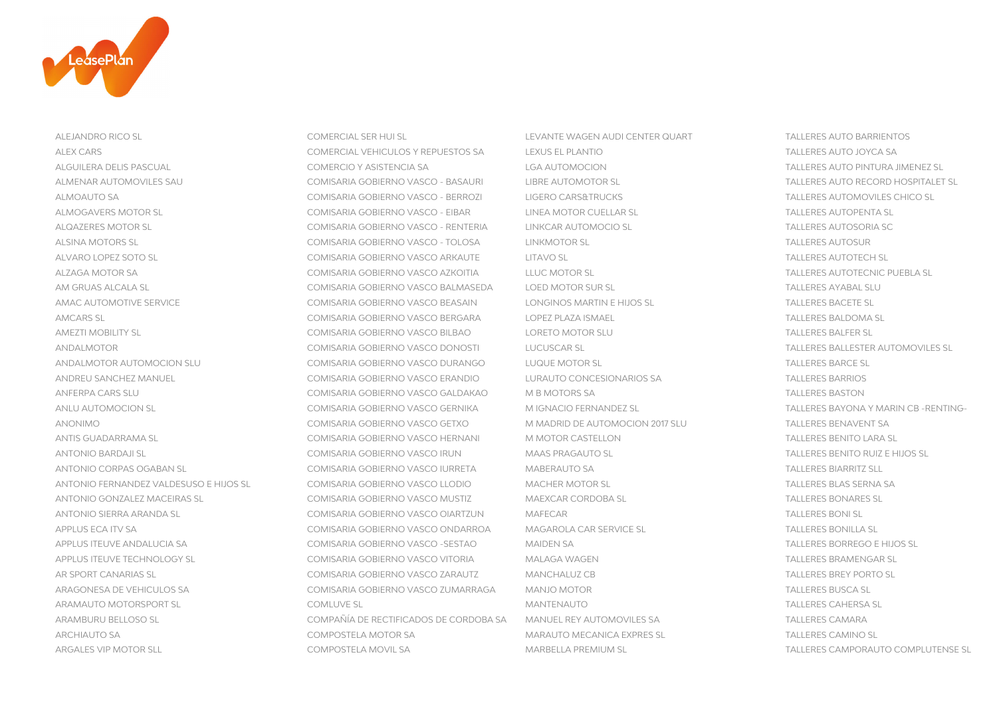

ALEJANDRO RICO SL COMERCIAL SER HUI SL LEVANTE WAGEN AUDI CENTER QUART TALLERES AUTO BARRIENTOS

ALEX CARS COMERCIAL VEHICULOS Y REPUESTOS SA LEXUS EL PLANTIO ALGUILERA DELIS PASCUAL COMERCIO Y ASISTENCIA SA LGA AUTOMOCION TALLERES AUTO PINTURA JIMENEZ SL ALMENAR AUTOMOVILES SAU COMISARIA GOBIERNO VASCO - BASAURI LIBRE AUTOMOTOR SL ALMOAUTO SA COMISARIA GOBIERNO VASCO - BERROZI LIGERO CARS&TRUCKS TALLERES AUTOMOVILES CHICO SL ALMOGAVERS MOTOR SL COMISARIA GOBIERNO VASCO - EIBAR LINEA MOTOR CUELLAR SL TALLERES AUTOPENTA SL ALQAZERES MOTOR SL COMISARIA GOBIERNO VASCO - RENTERIA LINKCAR AUTOMOCIO SL ALSINA MOTORS SL COMISARIA GOBIERNO VASCO - TOLOSA LINKMOTOR SL TALLERES AUTOSUR ALVARO LOPEZ SOTO SL COMISARIA GOBIERNO VASCO ARKAUTE LITAVO SL ALZAGA MOTOR SA COMISARIA GOBIERNO VASCO AZKOITIA LLUC MOTOR SL TALLERES AUTOTECNIC PUEBLA SL AM GRUAS ALCALA SL COMISARIA GOBIERNO VASCO BALMASEDA LOED MOTOR SUR SL AMAC AUTOMOTIVE SERVICE COMISARIA GOBIERNO VASCO BEASAIN LONGINOS MARTIN E HIJOS SL AMCARS SL COMISARIA GOBIERNO VASCO BERGARA LOPEZ PLAZA ISMAEL TALLERES BALDOMA SL AMEZTI MOBILITY SL COMISARIA GOBIERNO VASCO BILBAO LORETO MOTOR SLU TALLERES BALFER SL ANDALMOTOR COMISARIA GOBIERNO VASCO DONOSTI LUCUSCAR SL TALLERES BALLESTER AUTOROVICHE SL TALLERES BALLESTER SL ANDALMOTOR AUTOMOCION SLU COMISARIA GOBIERNO VASCO DURANGO LUQUE MOTOR SL TALLERES BARCE SL ANDREU SANCHEZ MANUEL COMISARIA GOBIERNO VASCO ERANDIO LURAUTO CONCESIONARIOS SA TALLERES BARRIOS ANFERPA CARS SLU COMISARIA GOBIERNO VASCO GALDAKAO M B MOTORS SA TALLERES BASTONISARIA GOBIERNO VASCO GALDAKAO ANLU AUTOMOCION SL COMISARIA GOBIERNO VASCO GERNIKA M IGNACIO FERNANDEZ SL TALLERES BAYONA Y MARIN CB -RENTING-ANONIMO COMISARIA GOBIERNO VASCO GETXO MINADRID DE AUTOMOCION 2017 SLU ANTIS GUADARRAMA SL COMISARIA GOBIERNO VASCO HERNANI MINOTOR CASTELLON TALLERES BENITO LARA SURFA SURFA SURFA ANTONIO BARDAJI SL COMISARIA GOBIERNO VASCO IRUN MAAS PRAGAUTO SL TALLERES BENITO RUIZ E HIJOS SL ANTONIO CORPAS OGABAN SL COMISARIA GOBIERNO VASCO IURRETA MABERAUTO SA TALLERES BIARRITZ SLL ANTONIO FERNANDEZ VALDESUSO E HIJOS SL COMISARIA GOBIERNO VASCO LLODIO MACHER MOTOR SL ANTONIO GONZALEZ MACEIRAS SL COMISARIA GOBIERNO VASCO MUSTIZ MAEXCAR CORDOBA SL TALLERES BONARES SL TALLERES BONARES SL ANTONIO SIERRA ARANDA SL COMISARIA GOBIERNO VASCO OIARTZUN MAFECAR TALLERES BONI SL APPLUS ECA ITV SA COMISARIA GOBIERNO VASCO ONDARROA MAGAROLA CAR SERVICE SL APPLUS ITEUVE ANDALUCIA SA COMISARIA GOBIERNO VASCO -SESTAO MAIDEN SA TALLERES BORREGO E HIJOS SA TALLERES BOR APPLUS ITEUVE TECHNOLOGY SL COMISARIA GOBIERNO VASCO VITORIA MALAGA WAGEN TALLERES BRAMENGAR SL AR SPORT CANARIAS SL COMISARIA GOBIERNO VASCO ZARAUTZ MANCHALUZ CB ARAGONESA DE VEHICULOS SA COMISARIA GOBIERNO VASCO ZUMARRAGA MANJO MOTOR TALLERES BUSCA SL ARAMAUTO MOTORSPORT SL COMLUVE SL MANTENAUTO TALLERES CAHERSA SL ARAMBURU BELLOSO SL COMPAÑÍA DE RECTIFICADOS DE CORDOBA SA MANUEL REY AUTOMOVILES SA TALLERES CAMARA ARCHIAUTO SA COMPOSTELA MOTOR SA COMPOSTELA MOTOR SA MARAUTO MECANICA EXPRES SL ARGALES VIP MOTOR SLL COMPOSTELA MOVIL SA MARBELLA PREMIUM SL TALLERES CAMPORAUTO COMPLUTENSE SL

**TALLERES AUTO JOYCA SA** TALLERES AUTO RECORD HOSPITALET SL **TALLERES AUTOSORIA SC TALLERES AUTOTECH SL** TALLERES AYABAL SLU **TALLERES BACETE SL** TALLERES BALLESTER AUTOMOVILES SL **TALLERES BARRIOS TALLERES BASTON** TALLERES BENAVENT SA **TALLERES BENITO LARA SL** TALLERES BLAS SERNA SA **TALLERES BONI SL** TALLERES BONILLA SL **TALLERES BORREGO E HIJOS SL TALLERES BREY PORTO SL TALLERES CAMINO SL**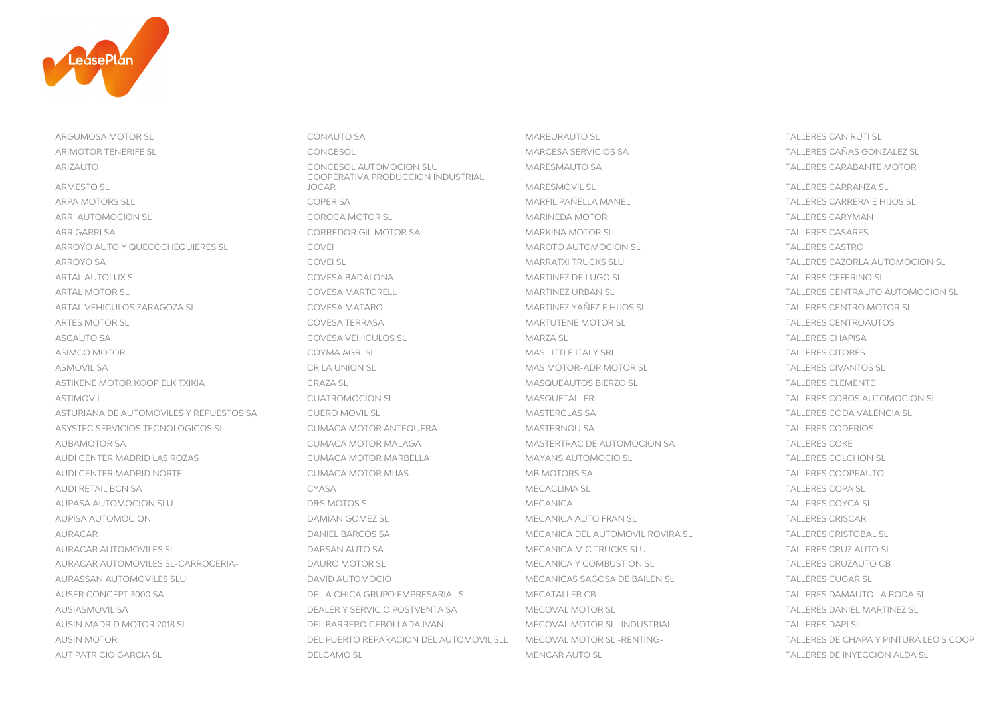

ARGUMOSA MOTOR SL CONAUTO SA CONAUTO SA CONAUTO SL SA MARBURAUTO SL SA SA SA SA TALLERES CAN RUTI SL ARIMOTOR TENERIFE SL CONCESOL MARCESA SERVICIOS SA TALLERES CAÑAS GONZALEZ SL ARIZAUTO CONCESOL AUTOMOCION SLU MARESMAUTO SA TALLERES CARABANTE MOTOR ARMESTO SL ARPA MOTORS SLL COPER SA MARFIL PAÑELLA MANEL TALLERES CARRERA E HIJOS SL ARRI AUTOMOCION SL COROCA MOTOR SL COROCA MOTOR SL COROCA MOTOR COROCA MOTOR COROCA MOTOR COROCA MOTOR COROCA MOTOR COROCA MOTOR COROCA MOTOR COROCA MOTOR COROCA MOTOR COROCA MOTOR COROCA MOTOR COROCA MOTOR COROCA MOTOR CO ARRIGARRI SA CORREDOR GIL MOTOR SA MARKINA MOTOR SL TALLERES CASARES ARROYO AUTO Y QUECOCHEQUIERES SL COVEI MAROTO AUTOMOCION SL TALLERES CASTRO ARROYO SA COVEI SL COVEI SL COVEI SLU MARRATXI TRUCKS SLU SA COVEI SLAVIONOCION SL SANTO TALLERES CAZORLA AUTOMOCION SL ARTAL AUTOLUX SL COVESA BADALONA MARTINEZ DE LUGO SL TALLERES CEFERINO SL ARTAL MOTOR SL COVESA MARTORELL CONTRAUTO AUTOMOCION SL COVES ANARTORELL CONTRAUTO AUTOMOCION SL CONTRAUTO AUTOMOCION SL ARTAL VEHICULOS ZARAGOZA SL COVESA MATARO MARTINEZ YAÑEZ E HIJOS SL TALLERES CENTRO MOTOR SL ARTES MOTOR SL COVESA TERRASA MARTUTENE MOTOR SL TALLERES CENTROAUTOS ASCAUTO SA COVESA VEHICULOS SL MARZA SL MARZA SL MARZA SL SA CHAPISA TALLERES CHAPISA ASIMCO MOTOR COYMA AGRI SI COYMA AGRI SI COYMA AGRI SL MAS LITTLE ITALY SRL AND TALLERES CITORES ASMOVIL SA CR LA UNION SL CR LA UNION SL CR LA UNION SL CR LA UNION SL MAS MOTOR-ADP MOTOR SL ASTIKENE MOTOR KOOP ELK TXIKIA CRAZA SL MASQUEAUTOS BIERZO SL TALLERES CLEMENTE ASTIMOVIL CONFERENCE COROS AUTOMOCION SLATION CUATROMOCION SLATION CONFERENCE AND SCULPTALLER TALLERES COBOS AUTOMOCION SL ASTURIANA DE AUTOMOVILES Y REPUESTOS SA CUERO MOVIL SL CUERO MOVIL SL MASTERCLAS SA TALLERES CODA VALENCIA SL ASYSTEC SERVICIOS TECNOLOGICOS SL CUMACA MOTOR ANTEQUERA MASTERNOU SA TALLERES CODERIOS AUBAMOTOR SA CUMACA MOTOR MALAGA MASTERTRAC DE AUTOMOCION SA TALLERES COKE AUDI CENTER MADRID LAS ROZAS CUMACA MOTOR MARBELLA MAYANS AUTOMOCIO SL TALLERES COLCHON SL AUDI CENTER MADRID NORTE CUMACA MOTOR MIJAS MB MOTORS SA TALLERES COOPEAUTO AUDI RETAIL BCN SA CYASA MECACLIMA SL TALLERES COPA SL AUPASA AUTOMOCION SLU COYCA SLU DAS MOTOS SLUGALERES COYCA SLUGALERES COYCA SLUGALERES COYCA SLUGALERES COYCA SL AUPISA AUTOMOCION DAMIAN GOMEZ SL MECANICA AUTO FRAN SL TALLERES CRISCAR AURACAR DANIEL BARCOS SA MECANICA DEL AUTOMOVIL ROVIRA SL TALLERES CRISTOBAL SL AURACAR AUTOMOVILES SL DARSAN AUTO SA MECANICA M C TRUCKS SLU TALLERES CRUZ AUTO SL AURACAR AUTOMOVILES SL-CARROCERIA- DAURO MOTOR SL MECANICA Y COMBUSTION SL TALLERES CRUZAUTO CB AURASSAN AUTOMOVILES SLU DAVID AUTOMOCIO MECANICAS SAGOSA DE BAILEN SL TALLERES CUGAR SL AUSER CONCEPT 3000 SA DE LA CHICA GRUPO EMPRESARIAL SL MECATALLER CB TALLERES DAMAUTO LA RODA SL AUSIASMOVIL SA DEALER Y SERVICIO POSTVENTA SA MECOVAL MOTOR SL TALLERES DANIEL MARTINEZ SL AUSIN MADRID MOTOR 2018 SL DEL BARRERO CEBOLLADA IVAN MECOVAL MOTOR SL -INDUSTRIAL- TALLERES DAPI SL AUSIN MOTOR DEL PUERTO REPARACION DEL AUTOMOVIL SLL MECOVAL MOTOR SL -RENTING- TALLERES DE CHAPA Y PINTURA LEO S COOP AUT PATRICIO GARCIA SI CAMO SL DELCAMO SI DEL CAMO SLOBO ALDA SLOBO ALDA SLOBO ALDA SLOBO ALDA SLOBO ALDA SLOBO ALDA SLOBO ALDA SLOBO ALDA SLOBO ALDA SLOBO ALDA SLOBO ALDA SLOBO ALDA SLOBO ALDA SLOBO ALDA SLOBO ALDA SLOBO

COOPERATIVA PRODUCCION INDUSTRIAL JOCAR MARESMOVIL SL TALLERES CARRANZA SL

**TALLERES CIVANTOS SL**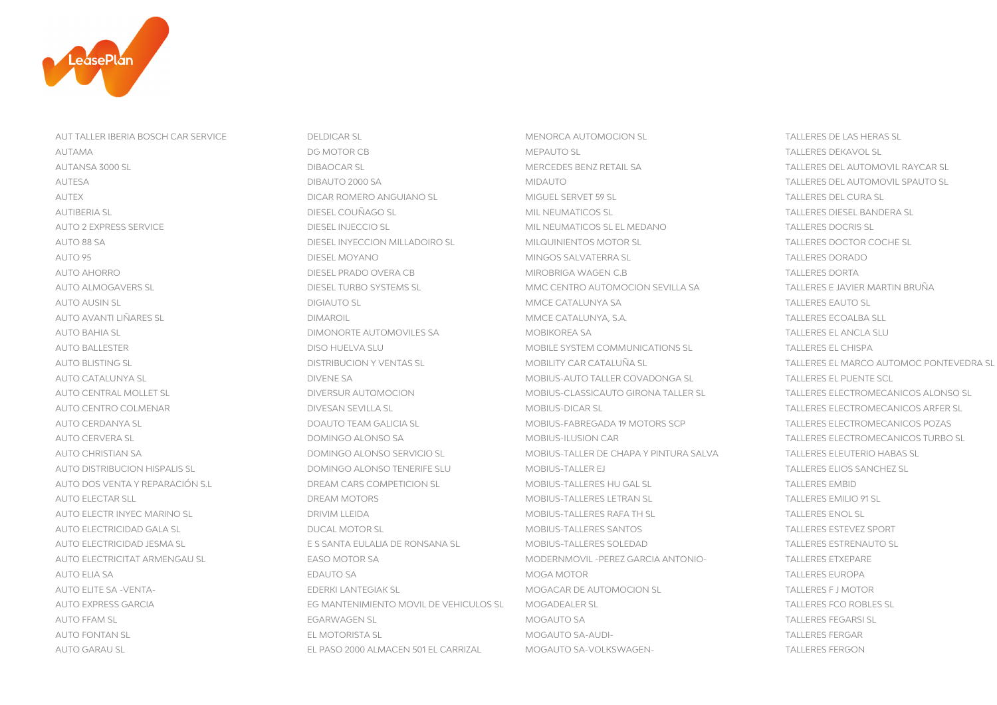

AUT TALLER IBERIA BOSCH CAR SERVICE DELDICAR SL MENORCA AUTOMOCION SL TALLERES DE LAS HERAS SL AUTO 2 EXPRESS SERVICE ALL DIESEL INJECCIO SL MIL NEUMATICOS SL EL MEDANO TALLERES DOCRIS SUR EL MEDANO TALLER AUTO 88 SA DIESEL INYECCION MILLADOIRO SL MILQUINIENTOS MOTOR SL SALLERES DO COCHE SL TALLERES DO COCHE SL TALLER AUTO 95 DIESEL MOYANO MINGOS SALVATERRA SL TALLERES DORADO AUTO AUSIN SL DIGIAUTO SL DIGIAUTO SL DIGIAUTO SL DIGIAUTO SL DIGIAUTO SL DIGIAUTO SL DIGIAUTO SL DIGIAUTO SL DIGIAUTO SL DIGIAUTO SL DIGIAUTO SL DIGIAUTO SL DIGIAUTO SL DIGIAUTO SL DIGIAUTO SL DIGIAUTO SL DIGIAUTO SL DIGI AUTO BAHIA SL DIMONORTE AUTOMOVILES SA DIMONORTE AUTOMOVILES SA MOBIKOREA SA AUTO DOS VENTA Y REPARACIÓN S.L DREAM CARS COMPETICION SL DO MOBIUS-TALLERES HU GAL SL TALLERES EMBIDES EMBIDE AUTO ELECTAR SLL DREAM MOTORS AND DREAM MOTORS AND BOSIUS-TALLERES LETRAN SL TALLERES LETRAN SL AUTO ELECTR INYEC MARINO SL DRIVIM LLEIDA DRIVIM LLEIDA MOBIUS-TALLERES RAFA TH SL AUTO ELECTRICIDAD GALA SL DUCAL MOTOR SL DUCAL MOTOR SL DUCAL MOTOR SL MOBIUS-TALLERES SANTOS AUTO ELECTRICIDAD JESMA SL E SANTA EULALIA DE RONSANA SL ESTRENADO ELECTRICIDAD SUL ESTRENADO ELECTRICIDAD ESTRENAD AUTO ELITE SA -VENTA- EDERKI LANTEGIAK SL EDERKI LANTEGIAK SL SANTO MOGACAR DE AUTOMOCION SL AUTO EXPRESS GARCIA EG MANTENIMIENTO MOVIL DE VEHICULOS SL MOGADEALER SL AUTO FONTAN SL EL MOTORISTA SL EL MOTORISTA SL EL MOTORISTA SL EL MOGAUTO SA-AUDI-

AUTO GARAU SL EL PASO 2000 ALMACEN 501 EL CARRIZAL MOGAUTO SA-VOLKSWAGEN- TALLERES FERGON

AUTAMA DG MOTOR CB MEPAUTO SL TALLERES DEKAVOL SL AUTANSA 3000 SL DIBAOCAR SL MERCEDES BENZ RETAIL SA TALLERES DEL AUTOMOVIL RAYCAR SL AUTESA DIBAUTO 2000 SA MIDAUTO TALLERES DEL AUTOMOVIL SPAUTO SL AUTEX DICAR ROMERO ANGUIANO SL MIGUEL SERVET 59 SL TALLERES DEL CURA SL AUTIBERIA SL DIESEL COUÑAGO SL MIL NEUMATICOS SL TALLERES DIESEL BANDERA SL AUTO AHORRO DIESEL PRADO OVERA CR MIROBRIGA WAGEN C.B DIESEL PORTA DIESEL PRADO OVERA CR MIROBRIGA WAGEN C.B TALLERES DORTA AUTO ALMOGAVERS SL DIESEL TURBO SYSTEMS SL MMC CENTRO AUTOMOCION SEVILLA SA TALLERES E JAVIER MARTIN BRUÑA AUTO AVANTI LIÑARES SL DIMAROIL MMCE CATALUNYA, S.A. TALLERES ECOALBA SLL AUTO BALLESTER DISO HUELVA SLU MOBILE SYSTEM COMMUNICATIONS SL TALLERES EL CHISPA AUTO CATALUNYA SL DIVENE SA MOBIUS-AUTO TALLER COVADONGA SL TALLERES EL PUENTE SCL AUTO CENTRO COLMENAR DIVESAN SEVILLA SL MOBIUS-DICAR SL TALLERES ELECTROMECANICOS ARFER SL AUTO CERDANYA SL DOAUTO TEAM GALICIA SL MOBIUS-FABREGADA 19 MOTORS SCP TALLERES ELECTROMECANICOS POZAS AUTO CERVERA SL DOMINGO ALONSO SA MOBIUS-ILUSION CAR TALLERES ELECTROMECANICOS TURBO SL AUTO CHRISTIAN SA DOMINGO ALONSO SERVICIO SL MOBIUS-TALLER DE CHAPA Y PINTURA SALVA TALLERES ELEUTERIO HABAS SL AUTO DISTRIBUCION HISPALIS SL DOMINGO ALONSO TENERIFE SLU MOBIUS-TALLER EJ TALLERES ELIOS SANCHEZ SL AUTO ELECTRICITAT ARMENGAU SL EASO MOTOR SA MODERNMOVIL -PEREZ GARCIA ANTONIO- TALLERES ETXEPARE AUTO ELIA SA ENGLERES EUROPA EDAUTO SA EDAUTO SA EDAUTO SA ENGLERES EUROPA EN ENGLERES EUROPA EN ENGLERES EUROPA AUTO FFAM SL EGARWAGEN SL MOGAUTO SA TALLERES FEGARSI SL

**TALLERES DOCRIS SL** TALLERES DOCTOR COCHE SL **TALLERES DORADO TALLERES EAUTO SL** TALLERES EL ANCLA SLU AUTO BLISTING SL DISTRIBUCION Y VENTAS SL MOBILITY CAR CATALUÑA SL TALLERES EL MARCO AUTOMOC PONTEVEDRA SL AUTO CENTRAL MOLLET SL DIVERSUR AUTOMOCION MOBIUS-CLASSICAUTO GIRONA TALLER SL TALLERES ELECTROMECANICOS ALONSO SL **TALLERES EMBID** TALLERES EMILIO 91 SL **TALLERES ENOL SL TALLERES ESTEVEZ SPORT TALLERES ESTRENAUTO SL** TALLERES F.J.MOTOR TALLERES FCO ROBLES SL **TALLERES FERGAR**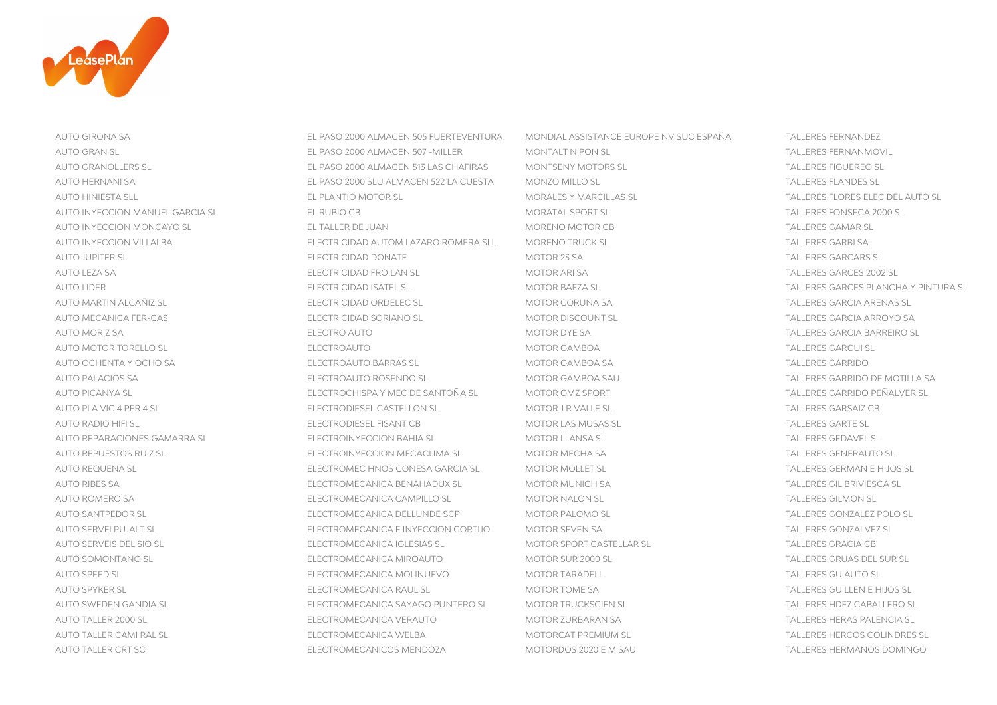

AUTO TALLER CRT SC ELECTROMECANICOS MENDOZA MOTORDOS 2020 E M SAU TALLERES HERMANOS DOMINGO

AUTO GIRONA SA EL PASO 2000 ALMACEN 505 FUERTEVENTURA MONDIAL ASSISTANCE EUROPE NV SUC ESPAÑA TALLERES FERNANDEZ AUTO GRAN SL EL PASO 2000 ALMACEN 507 -MILLER MONTALT NIPON SL TALLERES FERNANMOVIL AUTO GRANOLLERS SL EL PASO 2000 ALMACEN 513 LAS CHAFIRAS MONTSENY MOTORS SL TALLERES FIGUEREO SL AUTO HERNANI SA EL PASO 2000 SLU ALMACEN 522 LA CUESTA MONZO MILLO SL TALLERES FLANDES SL AUTO HINIESTA SLL EL PLANTIO MOTOR SL MORALES Y MARCILLAS SL TALLERES FLORES ELEC DEL AUTO SL AUTO INYECCION MANUEL GARCIA SL EL RUBIO CB MORATAL SPORT SL TALLERES FONSECA 2000 SL AUTO INYECCION MONCAYO SL EL TALLER DE JUAN MORENO MOTOR CB AUTO INYECCION VILLALBA ELECTRICIDAD AUTOM LAZARO ROMERA SLL MORENO TRUCK SL TALLERES GARBI SA TALLERES GARBI SA AUTO JUPITER SL ELECTRICIDAD DONATE MOTOR 23 SA TALLERES GARCARS SA TALLER SL AUTO LEZA SA ELECTRICIDAD FROILAN SL MOTOR ARI SA TALLERES GARCES 2002 SL AUTO LIDER ELECTRICIDAD ISATEL SL MOTOR BAEZA SL TALLERES GARCES PLANCHA Y PINTURA SL AUTO MARTIN ALCAÑIZ SL ELECTRICIDAD ORDELEC SL MOTOR CORUÑA SA TALLERES GARCIA ARENAS SL AUTO MECANICA FER-CAS ELECTRICIDAD SORIANO SL MOTOR DISCOUNT SL TALLERES GARCIA ARROYO SA AUTO MORIZ SA ELECTRO AUTO MOTOR DYE SA TALLERES GARCIA BARREIRO SL AUTO MOTOR TORELLO SL ELECTROAUTO AUTO CLEAR AUTO MOTOR GAMBOA AUTO MOTOR GAMBOA AUTO MOTOR TALLERES GARGUI SL AUTO OCHENTA Y OCHO SA ELECTROAUTO BARRAS SL MOTOR GAMBOA SA TALLERES GARRAS SL AUTO PALACIOS SA ELECTROAUTO ROSENDO SL MOTOR GAMBOA SAU TALLERES GARRIDO DE MOTILLA SA AUTO PICANYA SL ELECTROCHISPA Y MEC DE SANTOÑA SL MOTOR GMZ SPORT AUTO PLA VIC 4 PER 4 SL ELECTRODIESEL CASTELLON SL MOTOR J R VALLE SL ELECTRODIESEL CASTELLON SL AUTO RADIO HIFI SL ELECTRODIESEL FISANT CB MOTOR LAS MUSAS SL TALLERES GARTE SANT CB AUTO REPARACIONES GAMARRA SL ELECTROINYECCION BAHIA SL MOTOR LLANSA SL AUTO REPUESTOS RUIZ SI ELECTROINYECCION MECACLIMA SL MOTOR MECHA SA SAN TALLERES GENERALITO SL AUTO REQUENA SL ELECTROMEC HNOS CONESA GARCIA SL TALLO MOTOR MOLLET SL AUTO RIBES SA ELECTROMECANICA BENAHADUX SL MOTOR MUNICH SA TALLERES GIL BRIVIESCA SL AUTO ROMERO SA ELECTROMECANICA CAMPILLO SL ENTOR NALON SL MOTOR NALON SL AUTO SANTPEDOR SL ELECTROMECANICA DELLUNDE SCP MOTOR PALOMO SL AUTO SERVEI PUJALT SL ELECTROMECANICA E INYECCION CORTIJO MOTOR SEVEN SA AUTO SERVEIS DEL SIO SL ELECTROMECANICA IGLESIAS SL ELECTROMECANICA IGLESIAS SL ELECTROMECANICA IGLESIAS SL AUTO SOMONTANO SI CONTROLLER ELECTROMECANICA MIROAUTO CONTROLLER MOTOR SUR 2000 SI CONTROLLERES GRUAS DEL SUR SL AUTO SPEED SL ELECTROMECANICA MOLINUEVO MOTOR TARADELL AUTO SPYKER SL ELECTROMECANICA RAUL SL MOTOR TOME SA TALLERES GUILLEN E HIJOS SL AUTO SWEDEN GANDIA SL ELECTROMECANICA SAYAGO PUNTERO SL MOTOR TRUCKSCIEN SL AUTO TALLER 2000 SL ELECTROMECANICA VERAUTO MOTOR ZURBARAN SA TALLER 2000 SL AUTO TALLER CAMI RAL SL ELECTROMECANICA WELBA MOTORCAT PREMIUM SL TALLERES HERCOS COLINDRES SL

**TALLERES GAMAR SL TALLERES GARCARS SL TALLERES GARRIDO** TALLERES GARRIDO PEÑALVER SL **TALLERES GARSAIZ CB TALLERES GARTE SL TALLERES GEDAVEL SL** TALLERES GERMAN E HIJOS SL **TALLERES GILMON SL** TALLERES GONZALEZ POLO SL TALLERES GONZALVEZ SL **TALLERES GRACIA CB TALLERES GUIAUTO SL** TALLERES HDEZ CABALLERO SL TALLERES HERAS PALENCIA SL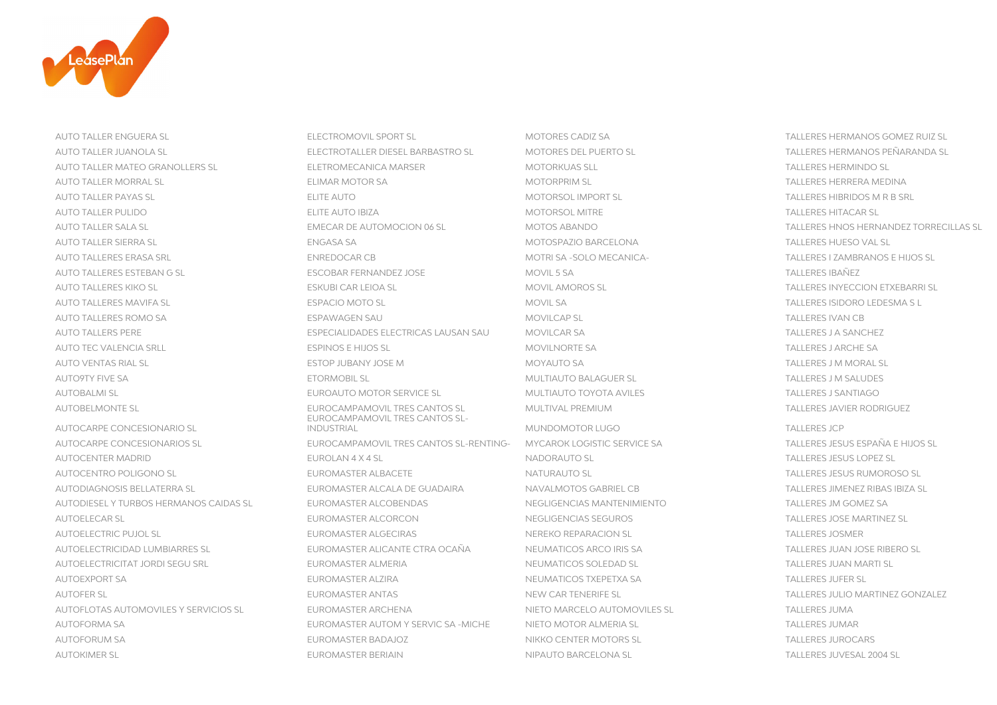

AUTO TALLER ENGUERA SL SOMEZ RUIZ SL ELECTROMOVIL SPORT SL SA MOTORES CADIZ SA SOMEZ RUIZ SL SA TALLERES HERMANOS GOMEZ RUIZ SL AUTO TALLER JUANOLA SL ELECTROTALLER DIESEL BARBASTRO SL MOTORES DEL PUERTO SL TALLERES HERMANOS PEÑARANDA SL AUTO TALLER MATEO GRANOLLERS SLOGION AND ELETROMECANICA MARSER AND MOTORKUAS SLL TALLER MATEO SLOGION AND SLOGION SLOGION AND SLOGION AND SLOGION AND SLOGION AND SLOGION AND SLOGION AND SLOGION AND SLOGION AND SLOGION AND AUTO TALLER MORRAL SL ELIMAR MOTOR SA MOTORPRIM SL TALLERES HERRERA MEDINA AUTO TALLER PAYAS SL ELITE AUTO MOTORSOL IMPORT SL TALLERES HIBRIDOS M R B SRL AUTO TALLER PULIDO CONSTRUIDO ELITE AUTO IBIZA ELITE AUTO IBIZA ELITE AUTO ELITE AUTO IBIZA ELITE AUTO IBIZA EL AUTO TALLER SALA SL EMECAR DE AUTOMOCION 06 SL MOTOS ABANDO TALLERES HNOS HERNANDEZ TORRECILLAS SL AUTO TALLER SIERRA SL ENGASA SA MOTOSPAZIO BARCELONA TALLERES HUESO VAL SL AUTO TALLERES ERASA SRL SAN ENREDOCAR CB MOTRI SA -SOLO MECANICA- SOLO MECANICA- TALLERES I ZAMBRANOS E HIJOS SL AUTO TALLERES ESTEBAN G SL ESCOBAR FERNANDEZ JOSE MOVIL 5 SA TALLERES IBAÑEZ AUTO TALLERES KIKO SL ESKUBI CAR LEIOA SL MOVIL AMOROS SL TALLERES INYECCION ETXEBARRI SL AUTO TALLERES MAVIFA SL ESPACIO MOTO SL MOVIL SA TALLERES ISIDORO LEDESMA S L AUTO TALLERES ROMO SA ESPAWAGEN SAU ESPANAGEN SAU MOVILCAP SL ESPANAGEN SAU ESPANAGEN SAU ESPANAGEN SAU ESPANAGEN SAU AUTO TALLERS PERE ESPECIALIDADES ELECTRICAS LAUSAN SAU TALLERS PERE SA TALLERES SA TALLERES SA TALLERES SA AUTO TEC VALENCIA SRLL ESPINOS E HIJOS SL MOVILNORTE SA TALLERES J ARCHE SA AUTO VENTAS RIAL SL ESTOP JUBANY JOSE M MOYAUTO SA TALLERES J M MORAL SL AUTO9TY FIVE SA ETORMOBIL SL ETORMOBIL SL ETORMOBIL SL ETORMOBIL SL ETORMOBIL SL ETORMOBIL SL ETORMOBIL SL ETORMOBIL SL AUTOBALMI SL EUROAUTO MOTOR SERVICE SL EUROAUTO MOTOR SERVICE SL EUROAUTO TOYOTA AVILES AUTOBELMONTE SL EUROCAMPAMOVIL TRES CANTOS SL EUROLOGICAL MULTIVAL PREMIUM AUTOCARPE CONCESIONARIO SL AUTOCARPE CONCESIONARIOS SL EUROCAMPAMOVIL TRES CANTOS SL-RENTING- MYCAROK LOGISTIC SERVICE SA TALLERES JESUS ESPAÑA E HIJOS SL AUTOCENTER MADRID CONTENTION CONTENTS OF TALLERES LESUS LOPEZ SL NADORALITO SL NADORALITO SL TALLERES LESUS LOPEZ SL AUTOCENTRO POLIGONO SL CHROMASTER ALBACETE CHROMASTER ALBACETE NATURAUTO SL CHROMASTER ALBACETE CHROMASTER ALBACETE AUTODIAGNOSIS BELLATERRA SL EUROMASTER ALCALA DE GUADAIRA NAVALMOTOS GABRIEL CB TALLERES JIMENEZ RIBAS IBIZA SL AUTODIESEL Y TURBOS HERMANOS CAIDAS SL EUROMASTER ALCOBENDAS NEGLIGENCIAS MANTENIMIENTO TALLERES JM GOMEZ SA AUTOELECAR SL EUROMASTER ALCORCON NEGLIGENCIAS SEGUROS TALLERES JOSE MARTINEZ SL AUTOELECTRIC PUJOL SL EUROMASTER ALGECIRAS NEREKO REPARACION SL TALLERES JOSMER AUTOELECTRICIDAD LUMBIARRES SL EUROMASTER ALICANTE CTRA OCAÑA NEUMATICOS ARCO IRIS SA TALLERES JUAN JOSE RIBERO SL AUTOELECTRICITAT JORDI SEGU SRL EUROMASTER ALMERIA NEUMATICOS SOLEDAD SL TALLERES JUAN MARTI SL AUTOEXPORT SA EUROMASTER ALZIRA EUROMASTER ALZIRA NEUMATICOS TXEPETXA SA TALLERES JUFER SL AUTOFER SL EUROMASTER ANTAS NEW CAR TENERIFE SL EUROPALEZ GONZALEZ GONZALEZ AUTOFLOTAS AUTOMOVILES Y SERVICIOS SL EUROMASTER ARCHENA NIETO MARCELO AUTOMOVILES SL TALLERES SL TALLERES SL AUTOFORMA SA EUROMASTER AUTOM Y SERVIC SA -MICHE NIETO MOTOR ALMERIA SL TALLERES JUMAR AUTOFORUM SA EUROMASTER BADAJOZ NIKKO CENTER MOTORS SL TALLERES JUROCARS

EUROCAMPAMOVIL TRES CANTOS SL-INDUSTRIAL MUNDOMOTOR LUGO TALLERES JCP AUTOKIMER SI AND TALLERES ILLUSTAL 2004 SL EUROMASTER BERIAIN NIPAUTO BARCELONA SI SAL TALLERES ILLUSTAL 2004 SL

TALLERES J A SANCHEZ TALLERES J M SALUDES TALLERES J SANTIAGO TALLERES JAVIER RODRIGUEZ **TALLERES JUMA**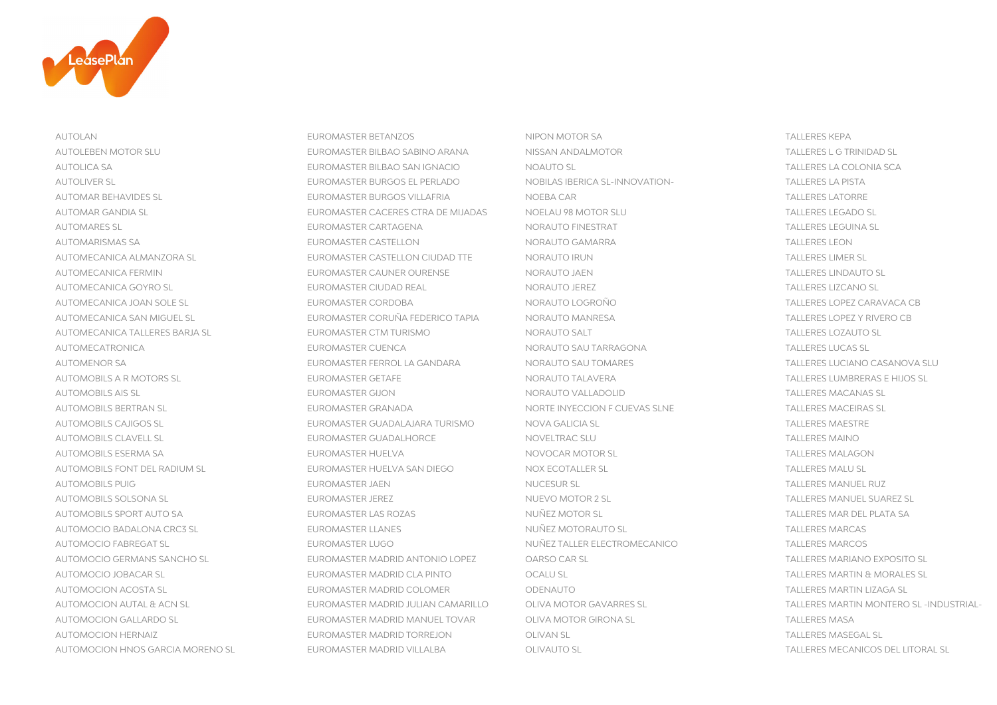

AUTOLAN EUROMASTER BETANZOS NIPON MOTOR SA TALLERES KEPA AUTOLEBEN MOTOR SLU EUROMASTER BILBAO SABINO ARANA NISSAN ANDALMOTOR NISSAN ANDALMOTOR AUTOLICA SA EUROMASTER BILBAO SAN IGNACIO NOAUTO SL TALLERES LA COLONIA SCA AUTOLIVER SL EUROMASTER BURGOS EL PERLADO NOBILAS IBERICA SL-INNOVATION-AUTOMAR BEHAVIDES SL EUROMASTER BURGOS VILLAFRIA NOEBA CAR TALLERES LATORRE AUTOMAR GANDIA SL EUROMASTER CACERES CTRA DE MIJADAS NOELAU 98 MOTOR SLU SAN SAN TALLERES LEGADO SL AUTOMARES SL EUROMASTER CARTAGENA NORAUTO FINESTRAT TALLERES LEGUINA SL AUTOMARISMAS SA EUROMASTER CASTELLON NORAUTO GAMARRA TALLERES LEON AUTOMECANICA ALMANZORA SL EUROMASTER CASTELLON CIUDAD TTE NORAUTO IRUN TALLERES LIMERATO IRUN TALLERES LIMER SL AUTOMECANICA FERMIN EUROMASTER CAUNER OURENSE NORAUTO JAEN TALLERES LINDAUTO SL AUTOMECANICA GOYRO SL CONTROLLERES LIZCANO SL CONTROLLERES LIZCANO SL EUROMASTER CIUDAD REAL NORAUTO JEREZ CONTROLLERES LIZCANO SL AUTOMECANICA JOAN SOLE SL EUROMASTER CORDOBA NORAUTO LOGROÑO TALLERES LOPEZ CARAVACA CB AUTOMECANICA SAN MIGUEL SL EUROMASTER CORUÑA FEDERICO TAPIA NORAUTO MANRESA TALLERES LOPEZ Y RIVERO CB AUTOMECANICA TALLERES BARJA SL EUROMASTER CTM TURISMO NORAUTO SALT NORAUTO SALT TALLERES BARJA SL AUTOMECATRONICA EUROMASTER CUENCA NORAUTO SAU TARRAGONA TALLERES LUCAS SL AUTOMENOR SA EUROMASTER FERROL LA GANDARA NORAUTO SAU TOMARES AUTOMOBILS A R MOTORS SL EUROMASTER GETAFE NORAUTO TALAVERA TALLERES LUMBRERAS E HIJOS SL AUTOMOBILS AIS SL EUROMASTER GIJON NORAUTO VALLADOLID TALLERES MACANAS SL AUTOMOBILS BERTRAN SL EUROMASTER GRANADA NORTE INYECCION F CUEVAS SLNE AUTOMOBILS CAJIGOS SL EUROMASTER GUADALAJARA TURISMO NOVA GALICIA SL TALLERES MAESTRE AUTOMOBILS CLAVELL SL EUROMASTER GUADALHORCE NOVELTRAC SLU AUTOMOBILS ESERMA SA EUROMASTER HUELVA NOVOCAR MOTOR SI SANTO DEL TALLERES MALAGON AUTOMOBILS FONT DEL RADIUM SL EUROMASTER HUELVA SAN DIEGO NOX ECOTALLER SL TALLER SL AUTOMOBILS PUIG EUROMASTER JAEN NUCESUR SL TALLERES MANUEL RUZ AUTOMOBILS SOLSONA SL EUROMASTER JEREZ NUEVO MOTOR 2 SL TALLERES MANUEL SUAREZ SL AUTOMOBILS SPORT AUTO SA EUROMASTER LAS ROZAS NUÑEZ MOTOR SL TALLERES MAR DEL PLATA SANTOR SE AUTOMOCIO BADALONA CRC3 SL EUROMASTER LLANES NUÑEZ MOTORAUTO SL AUTOMOCIO FABREGAT SL EUROMASTER LUGO NUÑEZ TALLER ELECTROMECANICO TALLERES MARCOS AUTOMOCIO GERMANS SANCHO SL EUROMASTER MADRID ANTONIO LOPEZ OARSO CAR SL TALLERES MARIANO EXPOSITO SL AUTOMOCIO JOBACAR SL EUROMASTER MADRID CLA PINTO TALLER OCALU SL AUTOMOCION ACOSTA SL EUROMASTER MADRID COLOMER ODENAUTO CONFINITION CONTRACTED AND TALLERES MARTIN LIZAGA SL AUTOMOCION GALLARDO SL EUROMASTER MADRID MANUEL TOVAR OLIVA MOTOR GIRONA SL AUTOMOCION HERNAIZ EUROMASTER MADRID TORREJON OLIVAN SL AUTOMOCION HNOS GARCIA MORENO SL EUROMASTER MADRID VILLALBA OLIVAUTO SL TALLERES MECANICOS DEL LITORAL SL

**TALLERES L G TRINIDAD SL TALLERES LA PISTA TALLERES LIMER SL TALLERES LOZAUTO SL** TALLERES LUCIANO CASANOVA SLU TALLERES MACEIRAS SL **TALLERES MAESTRE TALLERES MAINO** TALLERES MALU SL TALLERES MAR DEL PLATA SA **TALLERES MARCAS** TALLERES MARTIN & MORALES SL AUTOMOCION AUTAL & ACN SL EUROMASTER MADRID JULIAN CAMARILLO OLIVA MOTOR GAVARRES SL TALLERES MARTIN MONTERO SL -INDUSTRIAL-**TALLERES MASA TALLERES MASEGAL SL**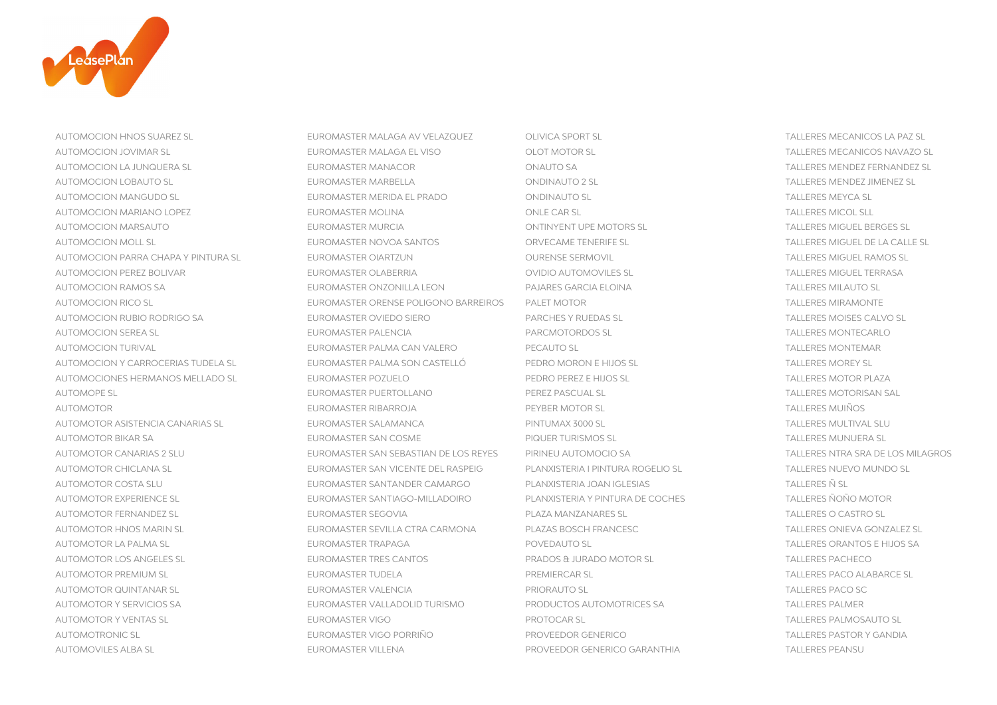

AUTOMOVILES ALBA SL EUROMASTER VILLENA PROVEEDOR GENERICO GARANTHIA TALLERES PEANSU

AUTOMOCION HNOS SUAREZ SL EUROMASTER MALAGA AV VELAZQUEZ OLIVICA SPORT SL TALLERES MECANICOS LA PAZ SL AUTOMOCION JOVIMAR SL EUROMASTER MALAGA EL VISO OLOT MOTOR SL TALLERES MECANICOS NAVAZO SL AUTOMOCION LA JUNQUERA SL EUROMASTER MANACOR ONAUTO SA TALLERES MENDEZ FERNANDEZ SL AUTOMOCION LOBAUTO SL EUROMASTER MARBELLA ONDINAUTO 2 SL TALLERES MENDEZ JIMENEZ SL AUTOMOCION MANGUDO SL EUROMASTER MERIDA EL PRADO ONDINAUTO SL TALLERES MEYCA SL AUTOMOCION MARIANO LOPEZ EUROMASTER MOLINA EUROMASTER MOLINA AND CONLE CAR SL CONNECT CONNECT CONSIDERES MICOL SLL AUTOMOCION MARSAUTO EUROMASTER MURCIA ONTINYENT UPE MOTORS SL TALLERES MIGUEL BERGES SL AUTOMOCION MOLL SL EUROMASTER NOVOA SANTOS CORVECAME TENERIFE SL SANTOS TALLERES MIGUEL DE LA CALLE SL AUTOMOCION PARRA CHAPA Y PINTURA SL EUROMASTER OIARTZUN OURENSE SERMOVIL TALLERES MIGUEL RAMOS SL AUTOMOCION PEREZ BOLIVAR EUROMASTER OLABERRIA OVIDIO AUTOMOVILES SL TALLERES MIGUEL TERRASA AUTOMOCION RAMOS SA EUROMASTER ONZONILLA LEON PAJARES GARCIA ELOINA TALLERES MILAUTO SL AUTOMOCION RICO SL EUROMASTER ORENSE POLIGONO BARREIROS PALET MOTOR AUTOMOCION RUBIO RODRIGO SA EUROMASTER OVIEDO SIERO PARCHES Y RUEDAS SL TALLERES MOISES CALVO SL AUTOMOCION SEREA SL EUROMASTER PALENCIA PARCMOTORDOS SL TALLERES MONTECARLO AUTOMOCION TURIVAL EUROMASTER PALMA CAN VALERO PECAUTO SL TALLERES MONTEMAR AUTOMOCION Y CARROCERIAS TUDELA SL EUROMASTER PALMA SON CASTELLÓ PEDRO MORON E HIJOS SL AUTOMOCIONES HERMANOS MELLADO SL EUROMASTER POZUELO PEDRO PEREZ E HIJOS SL AUTOMOPE SL EUROMASTER PUERTOLLANO PEREZ PASCUAL SL TALLERES MOTORISAN SALLERES MOTORISAN SALLERES MOTORISM SA AUTOMOTOR EUROMASTER RIBARROJA PEYBER MOTOR SL TALLERES MOTOR SL TALLER SERVICES SL TALLER AUTOMOTOR ASISTENCIA CANARIAS SL EUROMASTER SALAMANCA PINTUMAX 3000 SL AUTOMOTOR BIKAR SA EUROMASTER SAN COSME PIQUER TURISMOS SL AUTOMOTOR CANARIAS 2 SLU EUROMASTER SAN SEBASTIAN DE LOS REYES PIRINEU AUTOMOCIO SA TALLERES NTRA SRA DE LOS MILAGROS AUTOMOTOR CHICLANA SL EUROMASTER SAN VICENTE DEL RASPEIG PLANXISTERIA I PINTURA ROGELIO SL AUTOMOTOR COSTA SLU EUROMASTER SANTANDER CAMARGO PLANXISTERIA JOAN IGLESIAS AUTOMOTOR EXPERIENCE SL EUROMASTER SANTIAGO-MILLADOIRO PLANXISTERIA Y PINTURA DE COCHES AUTOMOTOR FERNANDEZ SL EUROMASTER SEGOVIA PLAZA MANZANARES SL AUTOMOTOR HNOS MARIN SL EUROMASTER SEVILLA CTRA CARMONA PLAZAS BOSCH FRANCESC AUTOMOTOR LA PALMA SL EUROMASTER TRAPAGA POVEDAUTO SL TALLERES ORANTOS E HIJOS SA AUTOMOTOR LOS ANGELES SL EUROMASTER TRES CANTOS PRADOS & JURADO MOTOR SL TALLERES PACHECO AUTOMOTOR PREMIUM SL EUROMASTER TUDELA PREMIERCAR SL TALLERES PACO ALABARCE SL AUTOMOTOR QUINTANAR SL EUROMASTER VALENCIA EUROMASTER VALENCIA AUTOMOTOR Y SERVICIOS SA EUROMASTER VALLADOLID TURISMO PRODUCTOS AUTOMOTRICES SA AUTOMOTOR Y VENTAS SL EUROMASTER VIGO PROTOCAR SL TALLERES PALMOSAUTO SL AUTOMOTRONIC SL EUROMASTER VIGO PORRIÑO PROVEEDOR GENERICO

**TALLERES MIRAMONTE TALLERES MOREY SL** TALLERES MOTOR PLAZA TALLERES MOTORISAN SAL **TALLERES MUIÑOS** TALLERES MULTIVAL SLU **TALLERES MUNUERA SL** TALLERES NUEVO MUNDO SL **TALLERES Ñ SL TALLERES ÑOÑO MOTOR** TALLERES O CASTRO SL TALLERES ONIEVA GONZALEZ SL **TALLERES PACO SC TALLERES PALMER TALLERES PASTOR Y GANDIA**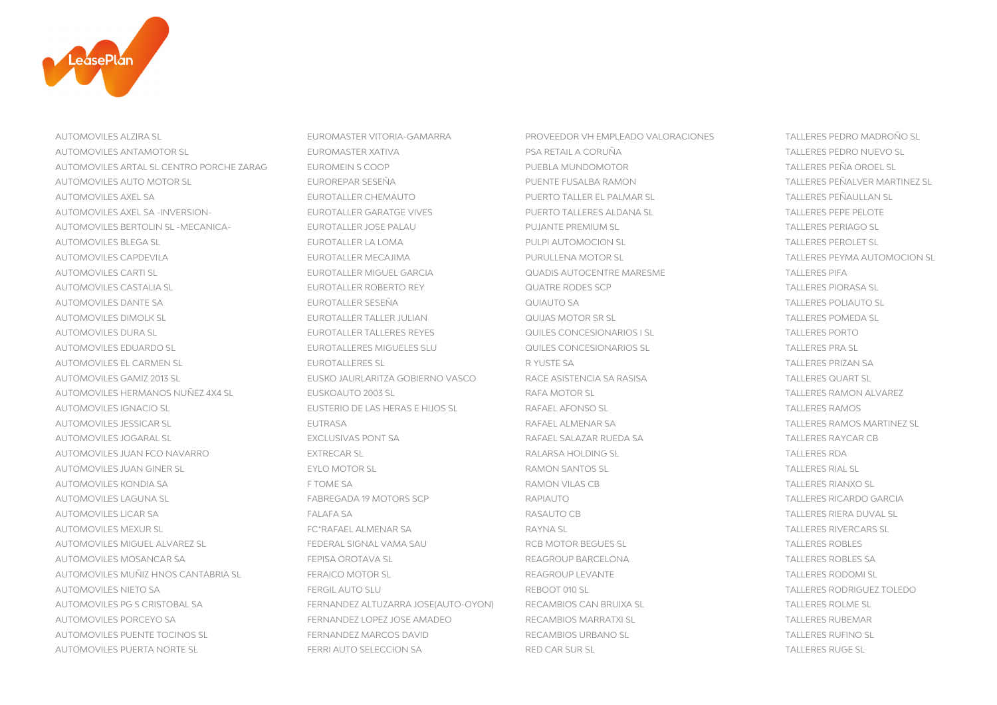

AUTOMOVILES ALZIRA SL EUROMASTER VITORIA-GAMARRA PROVEEDOR VH EMPLEADO VALORACIONES TALLERES PEDRO MADROÑO SL AUTOMOVILES ANTAMOTOR SL EUROMASTER XATIVA PSA RETAIL A CORUÑA TALLERES PEDRO NUEVO SL AUTOMOVILES ARTAL SL CENTRO PORCHE ZARAG EUROMEIN S COOP PUEBLA MUNDOMOTOR TALLERES PEÑA OROEL SL AUTOMOVILES AUTO MOTOR SL EUROREPAR SESEÑA PUENTE FUSALBA RAMON TALLERES PEÑALVER MARTINEZ SL AUTOMOVILES AXEL SA EUROTALLER CHEMAUTO PUERTO TALLER EL PALMAR SL TALLERES PEÑAULLAN SL AUTOMOVILES AXEL SA -INVERSION- EUROTALLER GARATGE VIVES PUERTO TALLERES ALDANA SI AUTOMOVILES BERTOLIN SL -MECANICA- EUROTALLER JOSE PALAU PUJANTE PREMIUM SL AUTOMOVILES BLEGA SL EUROTALLER LA LOMA PULPI AUTOMOCION SL TALLERES PEROLET SL AUTOMOVILES CAPDEVILA EUROTALLER MECAJIMA PURULLENA MOTOR SL TALLERES PEYMA AUTOMOCION SL AUTOMOVILES CARTI SL EUROTALLER MIGUEL GARCIA QUADIS AUTOCENTRE MARESME TALLERES PIFA AUTOMOVILES CASTALIA SL EUROTALLER ROBERTO REY AUTOMOVILES CASTALIA SL AUTOMOVILES DANTE SA EUROTALLER SESEÑA QUIAUTO SA TALLERES POLIAUTO SL AUTOMOVILES DIMOLK SI CHE EUROTALLER TALLER JULIAN CULLAS MOTOR SR SL CHE EUROTALLER TALLERES POMEDA SL AUTOMOVILES DURA SL EUROTALLER TALLERES REYES GUILES CONCESIONARIOS I SL TALLERES PORTO ANNO 1999. ANNO 1999 A AUTOMOVILES EDUARDO SL EUROTALLERES MIGUELES SLU QUILES CONCESIONARIOS SL TALLERES PRA SL AUTOMOVILES EL CARMEN SL EUROTALLERES SL EUROTALLERES SL EUROTALLERES SL EUROTALLERES SA TALLERES A AUTOMOVILES GAMIZ 2013 SL EUSKO JAURLARITZA GOBIERNO VASCO RACE ASISTENCIA SA RASISA AUTOMOVILES HERMANOS NUÑEZ 4X4 SL EUSKOAUTO 2003 SL SANTO AND RAFA MOTOR SL AUTOMOVILES IGNACIO SL EUSTERIO DE LAS HERAS E HIJOS SL BAFAEL AFONSO SL AUTOMOVILES JESSICAR SL EUTRASA RAFAEL ALMENAR SA TALLERES RAMOS MARTINEZ SL AUTOMOVILES JOGARAL SL EXCLUSIVAS PONT SA RAFAEL SALAZAR RUEDA SA TALLERES RAYCAR CB AUTOMOVILES IUAN FCO NAVARRO CONSERVATOR CONSERVATIVE EXTRECAR SI CONSERVATOR CONSERVATOR RALARSA HOLDING SI CONSERVATOR TALLERES RDA AUTOMOVILES JUAN GINER SL EYLO MOTOR SL EXAMON SANTOS SL SANTOS SL SANTOS SL SANTOS SL SL SANTOS SL SL SL SL S AUTOMOVILES KONDIA SA FEROME SA RAMON VILAS CB TOME SA RAMON VILAS CB TALLERES RAMON VILAS CB AUTOMOVILES LAGUNA SL FABREGADA 19 MOTORS SCP RAPIAUTO AUTOMOVILES LICAR SA FALAFA SA RASAUTO CB TALLERES RIERA DUVAL SL AUTOMOVILES MEXUR SL FC\*RAFAEL ALMENAR SA RAYNA SL TALLERES RAYNA SL AUTOMOVILES MIGUEL ALVAREZ SL FEDERAL SIGNAL VAMA SAU RCB MOTOR BEGUES SL AUTOMOVILES MOSANCAR SA FEPISA OROTAVA SL REAGROUP BARCELONA TALLERES ROBLES SA AUTOMOVILES MUÑIZ HNOS CANTABRIA SL FERAICO MOTOR SL CHERAICO MOTOR SL REAGROUP LEVANTE AUTOMOVILES NIETO SA FERGIL AUTO SLU REBOOT 010 SL TALLERES RODRIGUEZ TOLEDO AUTOMOVILES PG S CRISTOBAL SA FERNANDEZ ALTUZARRA JOSE(AUTO-OYON) RECAMBIOS CAN BRUIXA SL TALLERES ROLME SL AUTOMOVILES PORCEYO SA FERNANDEZ LOPEZ JOSE AMADEO RECAMBIOS MARRATXI SL AUTOMOVILES PUENTE TOCINOS SL FERNANDEZ MARCOS DAVID AUTOMOVILES PUERTA NORTE SL FERRI AUTO SELECCION SA RED CAR SUR SL FERRI AUTO SELECCION SA RED CAR SUR SL FALLERES RUGE SL

TALLERES PEPE PELOTE **TALLERES PERIAGO SL TALLERES PIORASA SL TALLERES PORTO TALLERES PRIZAN SA TALLERES QUART SL** TALLERES RAMON ALVAREZ **TALLERES RAMOS TALLERES RAYCAR CB** TALLERES RIAL SL **TALLERES RIANXO SL TALLERES RICARDO GARCIA** TALLERES RIVERCARS SL **TALLERES ROBLES TALLERES RODOMI SL TALLERES RUBEMAR TALLERES RUFINO SL**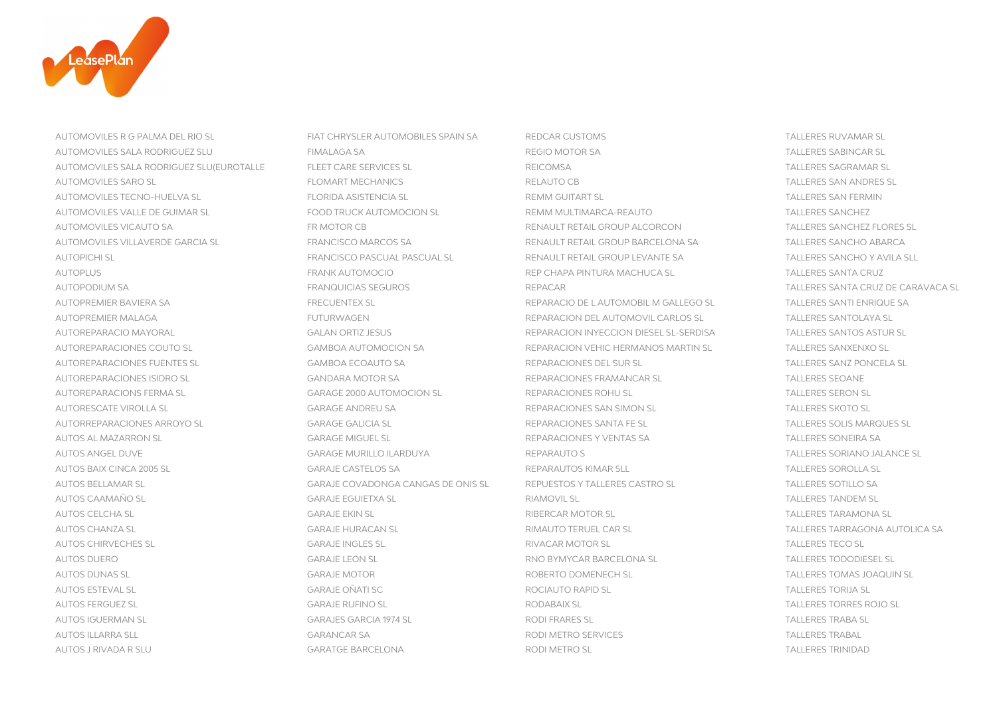

AUTOMOVILES R G PALMA DEL RIO SL FIAT CHRYSLER AUTOMOBILES SPAIN SA REDCAR CUSTOMS TALLERES RUVAMAR SL AUTOMOVILES SALA RODRIGUEZ SLU FIMALAGA SA REGIO MOTOR SA REGIO MOTOR SA TALLERES SALAR REGIO MOTOR SA TALLERE AUTOMOVILES SALA RODRIGUEZ SLU(EUROTALLE FLEET CARE SERVICES SL REICOMSA TALLERES SAGRAMAR SL AUTOMOVILES SARO SL FLOMART MECHANICS RELAUTO CB TALLERES SAN ANDRES SL AUTOMOVILES TECNO-HUELVA SL FLORIDA ASISTENCIA SL REMM GUITART SL TALLERES SAN FERMIN AUTOMOVILES VALLE DE GUIMAR SL FOOD TRUCK AUTOMOCION SL REMM MULTIMARCA-REAUTO TALLERES SANCHEZ AUTOMOVILES VICAUTO SA FRIMOTOR CB FR MOTOR CB RENAULT RETAIL GROUP ALCORCON AUTOMOVILES VILLAVERDE GARCIA SL FRANCISCO MARCOS SA RENAULT RETAIL GROUP BARCELONA SA TALLERES SANCHO ABARCA AUTOPICHI SL FRANCISCO PASCUAL PASCUAL SL RENAULT RETAIL GROUP LEVANTE SA AUTOPLUS FRANK AUTOMOCIO REP CHAPA PINTURA MACHUCA SL TALLERES SANTA CRUZ AUTOPODIUM SA FRANQUICIAS SEGUROS REPACAR TALLERES SANTA CRUZ DE CARAVACA SL AUTOPREMIER BAVIERA SA FRECUENTEX SL FRECUENTEX SL REPARACIO DE LAUTOMOBIL M GALLEGO SL AUTOPREMIER MALAGA FUTURWAGEN REPARACION DEL AUTOMOVIL CARLOS SL TALLERES SANTOLAYA SL AUTOREPARACIO MAYORAL GALAN ORTIZ JESUS REPARACION INYECCION DIESEL SL-SERDISA GALAN ORTIZ JESUS SANTOS ASTUR SERDISA AUTOREPARACIONES COUTO SL GAMBOA AUTOMOCION SA REPARACION VEHIC HERMANOS MARTIN SL TALLERES SANXENXO SL AUTOREPARACIONES FUENTES SL GAMBOA ECOAUTO SA REPARACIONES DEL SUR SL AUTOREPARACIONES ISIDRO SL ETALLERES ISIDA EN EL GANDARA MOTOR SA SENTENTE ERAMANCAR SL TALLERES SERAMANCAR SL AUTOREPARACIONS FERMA SL SARAGE 2000 AUTOMOCION SL SARAGE 2000 AUTOREPARACIONES ROHU SL AUTORESCATE VIROLLA SL GARAGE ANDREU SA REPARACIONES SAN SIMON SL TALLERES SKOTO SL AUTORREPARACIONES ARROYO SL SANTA EL GARAGE GALICIA SL SOLIGIONES SANTA FE SL SOLIGIONES SANTA FE SL AUTOS AL MAZARRON SL EN EN GARAGE MIGUEL SL EN EN EL DE REPARACIONES Y VENTAS SA AUTOS ANGEL DUVE GARAGE MURILLO ILARDUYA REPARAUTO S TALLERES SORIANO JALANCE SL AUTOS BAIX CINCA 2005 SL GARAJE CASTELOS SA REPARAUTOS KIMAR SLL TALLERES SOROLLA SL AUTOS BELLAMAR SL **AUTOS BELLAMAR SL** GASTRO SL GARAJE COVADONGA CANGAS DE ONIS SL REPUESTOS Y TALLERES CASTRO SL AUTOS CAAMAÑO SL GARAJE EGUIETXA SL RIAMOVIL SL TALLERES TANDEM SL AUTOS CELCHA SL CHARA GARAJE EKIN SL GARAJE EKIN SL GARAJE EKIN SL RIBERCAR MOTOR SL CHARAMONA SL TALLERES TARAMONA SL AUTOS CHANZA SL GARAJE HURACAN SL RIMAUTO TERUEL CAR SL TALLERES TARRAGONA AUTOLICA SA AUTOS CHIRVECHES SL EXERCICIÓN DE SARAJE INGLES SL ENTRE EN ENGLISHED AUTOS CHIRVECHES SL AUTOS DUERO CARAJE LEON SL GARAJE LEON SL RNO BYMYCAR BARCELONA SL STALLERES TODODIESEL SL AUTOS DUNAS SL GARAJE MOTOR ROBERTO DOMENECH SL TALLERES TOMAS JOAQUIN SL AUTOS ESTEVAL SL GARAJE OÑATI SC ROCIAUTO RAPID SL TALLERES TORIJA SL AUTOS FERGUEZ SL GARAJE RUFINO SL RODABAIX SL TALLERES TORRES ROJO SL AUTOS IGUERMAN SL GARAJES GARCIA 1974 SL RODI FRARES SL TALLERES TRABA SL AUTOS ILLARRA SLL ETALLERES TALLER ETALLERES TALLERES TALLERES TALLERES TALLERES TALLERES TRABALLERES TRABALLERES TRABALLERES TRABALLERES TRABALLERES TRABALLERES TRABALLERES TRABALLERES TRABALLERES TRABALLERES TRABALLERES AUTOS J RIVADA R SLU CHARATGE BARCELONA GARATGE BARCELONA RODI METRO SL CHARATGE ANNO 1999 ANNO 1999 ANNO 1999

**TALLERES SABINCAR SL** TALLERES SANCHEZ FLORES SL TALLERES SANCHO Y AVILA SLL TALLERES SANTI ENRIQUE SA TALLERES SANTOS ASTUR SL TALLERES SANZ PONCELA SL **TALLERES SEOANE** TAI LERES SERON SL TALLERES SOLIS MARQUES SL **TALLERES SONEIRA SA TALLERES SOTILLO SA TALLERES TECO SL TALLERES TRABAL**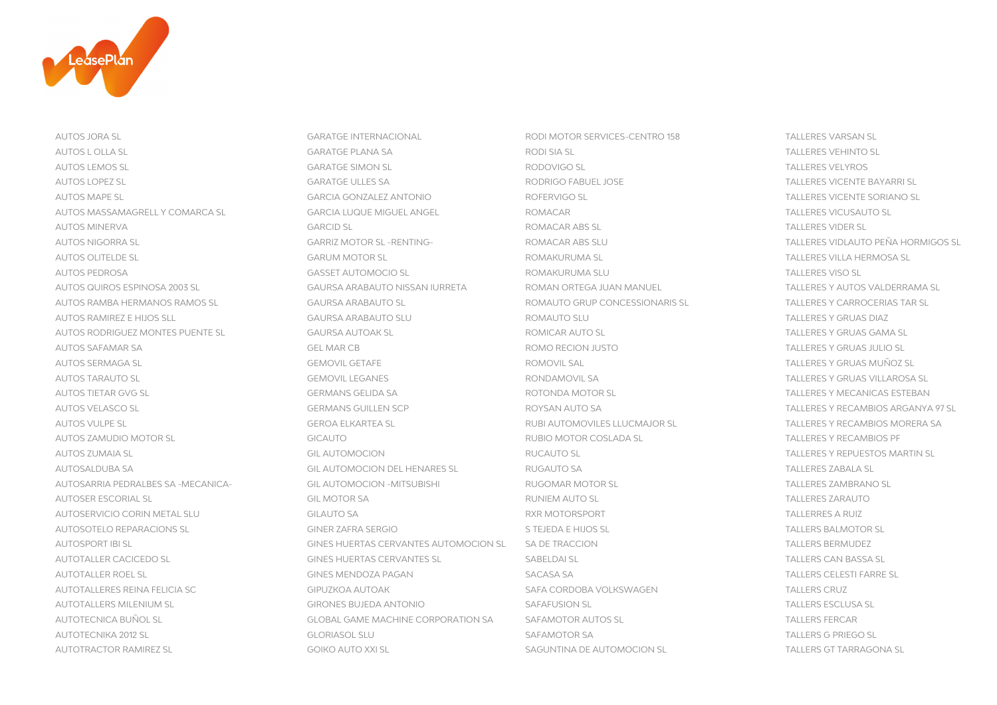

AUTOS JORA SL GARATGE INTERNACIONAL RODI MOTOR SERVICES-CENTRO 158 TALLERES VARSAN SL AUTOS L OLLA SL GARATGE PLANA SA RODI SIA SL TALLERES VEHINTO SL AUTOS LEMOS SL GARATGE SIMON SL RODOVIGO SL TALLERES VELYROS AUTOS LOPEZ SL GARATGE ULLES SA RODRIGO FABUEL JOSE TALLERES VICENTE BAYARRI SL AUTOS MAPE SL GARCIA GONZALEZ ANTONIO ROFERVIGO SL TALLERES VICENTE SORIANO SL AUTOS MASSAMAGRELL Y COMARCA SL GARCIA LUQUE MIGUEL ANGEL GOMACAR AUTOS MINERVA GARCID SL ROMACAR ABS SL TALLERES VIDER SL AUTOS NIGORRA SL GARRIZ MOTOR SL -RENTING- ROMACAR ABS SLU SANTOS DE SANTOS SLAGO DEÑA HORMIGOS SLAGO DE SANTO AUTOS OLITELDE SL GARUM MOTOR SL ROMAKURUMA SL TALLERES VILLA HERMOSA SL AUTOS PEDROSA GASSET AUTOMOCIO SL ROMAKURUMA SLU TALLERES VISO SL AUTOS QUIROS ESPINOSA 2003 SL GAURSA ARABAUTO NISSAN IURRETA ROMAN ORTEGA JUAN MANUEL AUTOS RAMBA HERMANOS RAMOS SL GAURSA ARABAUTO SL SANTO SON ROMAUTO GRUP CONCESSIONARIS SL AUTOS RAMIREZ E HIJOS SLL GAURSA ARABAUTO SLU ROMAUTO SLU TALLERES Y GRUAS DIAZ AUTOS RODRIGUEZ MONTES PUENTE SL GAURSA AUTOAK SL ROMICAR AUTO SL TALLERES Y GRUAS GAMA SL AUTOS SAFAMAR SA GEL MAR CB ROMO RECION JUSTO TALLERES Y GRUAS JULIO SL AUTOS SERMAGA SL GEMOVIL GETAFE ROMOVIL SAL TALLERES Y GRUAS MUÑOZ SL AUTOS TARAUTO SL GEMOVIL LEGANES RONDAMOVIL SA TALLERES Y GRUAS VILLAROSA SL AUTOS TIETAR GVG SL GERMANS GELIDA SA ROTONDA MOTOR SL TALLERES Y MECANICAS ESTEBAN AUTOS VELASCO SL GERMANS GUILLEN SCP ROYSAN AUTO SA TALLERES Y RECAMBIOS ARGANYA 97 SL AUTOS VULPE SL GEROA ELKARTEA SL RUBI AUTOMOVILES LLUCMAJOR SL TALLERES Y RECAMBIOS MORERA SA AUTOS ZAMUDIO MOTOR SL CONTROL COSLADA SL GICAUTO COSLADA SL TALLERES Y RUBIO MOTOR COSLADA SL AUTOS ZUMAIA SL GIL AUTOMOCION RUCAUTO SL TALLERES Y REPUESTOS MARTIN SL AUTOSALDUBA SA GIL AUTOMOCION DEL HENARES SL RUGAUTO SA TALLERES ZABALA SL AUTOSARRIA PEDRALBES SA -MECANICA- GIL AUTOMOCION -MITSUBISHI RUGOMAR MOTOR SL AUTOSER ESCORIAL SL GIL MOTOR SA RUNIEM AUTO SL TALLERES SCORIAL SL TALLERES ANNIEM AUTO SL AUTOSERVICIO CORIN METAL SLU GILAUTO SA CILAUTO SA RIXR MOTORSPORT E AUTOSOTELO REPARACIONS SL STRUGIONS SL STEJEDA E HIJOS SL AUTOSPORT IBI SL GINES HUERTAS CERVANTES AUTOMOCION SL GA DE TRACCION AUTOTALLER CACICEDO SL GINES HUERTAS CERVANTES SL SABELDAI SL TALLERS CAN BASSA SL AUTOTALLER ROEL SL GINES MENDOZA PAGAN SACASA SA TALLERS CELESTI FARRE SL AUTOTALLERES REINA FELICIA SC SAFA CORDOBA VOLKSWAGEN SAFA CORDOBA VOLKSWAGEN SAFA CORDOBA VOLKSWAGEN AUTOTALLERS MILENIUM SL EXECUTIVE SAFAFUSION SL GIRONES BUJEDA ANTONIO AUTOTECNICA BUÑOL SL ESTADO EN CORPORATION SA SAFAMOTOR AUTOS SL AUTOTECNIKA 2012 SL GLORIASOL SLU SAFAMOTOR SA TALLERS G PRIEGO SL AUTOTRACTOR RAMIREZ SL SOL GOIKO AUTO XXI SL SAGUNTINA DE AUTOMOCION SL SAGUNTINA DE AUTOMOCION SL TALLERS GT TARRAGONA SL

**TALLERES VICUSAUTO SL** TALLERES Y AUTOS VALDERRAMA SL TALLERES Y CARROCERIAS TAR SL **TALLERES Y RECAMBIOS PF TALLERES ZAMBRANO SL TALLERES ZARAUTO TALLERRES A RUIZ** TALLERS BALMOTOR SL **TALLERS BERMUDEZ TALLERS CRUZ** TALLERS ESCLUSA SL **TALLERS FERCAR**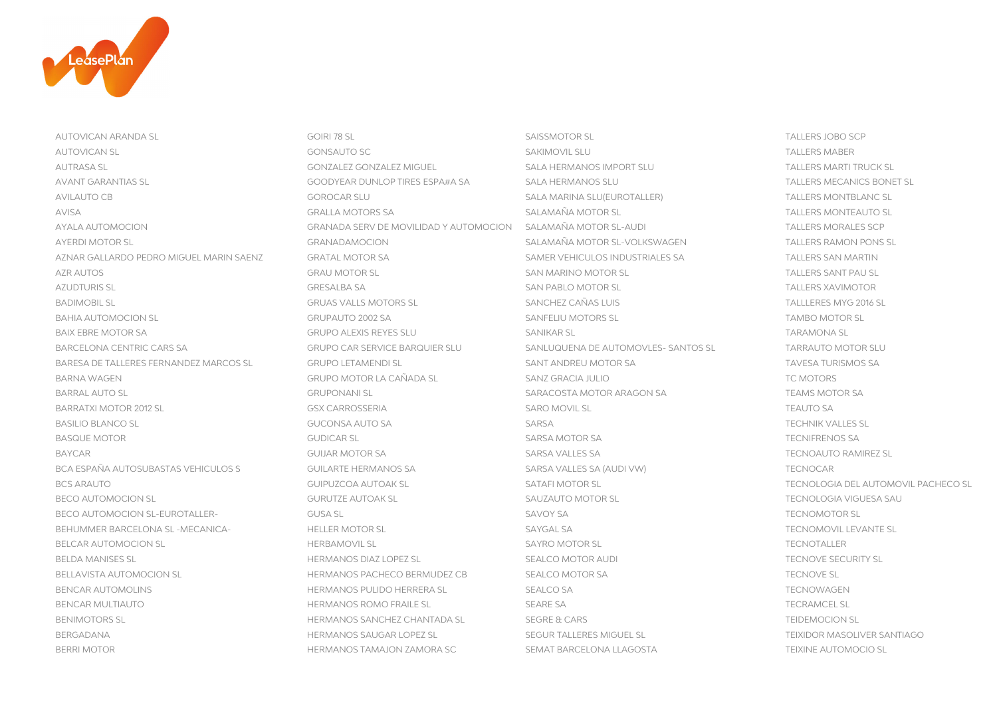

AUTOVICAN ARANDA SL GOIRI 78 SL SAISSMOTOR SL TALLERS JOBO SCP AUTOVICAN SL GONSAUTO SC SAKIMOVIL SLU TALLERS MABER AUTRASA SL GONZALEZ GONZALEZ MIGUEL SALA HERMANOS IMPORT SLU TALLERS MARTI TRUCK SL AVANT GARANTIAS SL SALA HERMANOS SLU SOODYEAR DUNLOP TIRES ESPA#A SA SALA HERMANOS SLU AVILAUTO CB GOROCAR SLU SALA MARINA SLU(EUROTALLER) TALLERS MONTBLANC SL AVISA GRALLA MOTORS SA SALAMAÑA MOTOR SLAGA SALAMAÑA MOTOR SLAGA SALAMAÑA MOTOR SLAGA SALAMAÑA MOTOR SLAGA SALAMAÑA MOTOR SLAGA SALAMAÑA MOTOR SLAGA SALAMAÑA MOTOR SLAGA SALAMAÑA MOTOR SLAGA SALAMAÑA MOTOR SLAGA SALAMAÑA M AYALA AUTOMOCION GRANADA SERV DE MOVILIDAD Y AUTOMOCION SALAMAÑA MOTOR SL-AUDI TALLERS MORALES SCP AYERDI MOTOR SI SALAMANA GRANADAMOCION SALAMAÑA MOTOR SL-VOLKSWAGEN SALAMAÑA MOTOR SL-VOLKSWAGEN TALLERS RAMON PONS SL AZNAR GALLARDO PEDRO MIGUEL MARIN SAENZ GRATAL MOTOR SA SAMER VEHICULOS INDUSTRIALES SA TALLERS SAN MARTIN AZR ALITOS AND TALLERS SANT PALLS AND GRAU MOTOR SL SAN MARINO MOTOR SL SAN MARINO MOTOR SL SANT PALLERS SANT PALLS AZUDTURIS SL GRESALBA SA SAN PABLO MOTOR SL TALLERS SAN PABLO MOTOR SL BADIMOBIL SL GRUAS VALLS MOTORS SL SANCHEZ CAÑAS LUIS TALLLERES MYG 2016 SL BAHIA AUTOMOCION SL **EXAMBO MOTOR SL** GRUPAUTO 2002 SA SANFELIU MOTORS SL SANFELIU MOTORS SL SANFELIU MOTOR SL SANFELIU MOTOR SL BAIX EBRE MOTOR SA GRUPO ALEXIS REYES SLU SANIKAR SL BARCELONA CENTRIC CARS SA GRUPO CAR SERVICE BARQUIER SLU SANLUQUENA DE AUTOMOVLES- SANTOS SL BARESA DE TALLERES FERNANDEZ MARCOS SL GRUPO LETAMENDI SL SANT ANDREU MOTOR SA TAVESA TAVES SA TAVES SA TAVES SA TAVES SA TAVES SA TAVES SA TAVES SA TAVES SA TAVES SA TAVES SA TAVES SA TAVES SA TAVES SA TAVES SA TURISMOS S BARNA WAGEN GRUPO MOTOR LA CAÑADA SL SANZ GRACIA JULIO BARRAL AUTO SL GRUPONANI SL GRUPONANI SL SARACOSTA MOTOR ARAGON SA TEAMS MOTOR SA TEAMS MOTOR SA TEAMS MOTOR SA TEAMS MOTOR SA TEAMS MOTOR SA TEAMS MOTOR SA TEAMS MOTOR SA TEAMS MOTOR SA TEAMS MOTOR SA TEAMS MOTOR SA TEAMS BARRATXI MOTOR 2012 SL SARO SARO SARO GOSX CARROSSERIA SARO SARO MOVIL SL SARO MOVIL SL SARO MOVIL SL SARO MOVIL SL SARO MOVIL SL SARO MOVIL SL SARO MOVIL SL SARO MOVIL SL SARO MOVIL SL SARO MOVIL SL SARO MOVIL SL SARO MOV BASILIO BLANCO SL SARSA TECHNIK GUCONSA AUTO SA SARSA SARSA SARSA SARSA SARSA SARSA SARSA SARSA SARSA SARSA SARSA SARSA SARSA SARSA SARSA SARSA SARSA SARSA SARSA SARSA SARSA SARSA SARSA SARSA SARSA SARSA SARSA SARSA SARSA BASQUE MOTOR GUDICAR SL SARSA MOTOR SA TECNIFRENOS SA BAYCAR GUIJAR MOTOR SA SARSA VALLES SA TECNOAUTO RAMIREZ SL BCA ESPAÑA AUTOSUBASTAS VEHICULOS S GUILARTE HERMANOS SA SARSA VALLES SA (AUDI VW) TECNOCAR BCS ARAUTO COMPUZCOA AUTOAK SL SATAFI MOTOR SL SATAFI MOTOR SL SATAFI MOTOR SL TECNOLOGIA DEL AUTOMOVIL PACHECO SL BECO AUTOMOCION SL SAUZAUTO SURUTZE AUTOAK SL SAUZAUTO MOTOR SL SAUZAUTO MOTOR SL SAUZAUTO MOTOR SL SAUZAUTO MOTOR SL SAUZAUTO MOTOR SL SAUZAUTO MOTOR SL SAUZAUTO MOTOR SL SAUZAUTO MOTOR SL SAUZAUTO MOTOR SL SAUZAUTO MOTOR BECO AUTOMOCION SL-EUROTALLER- GUSA SL SAVOY SA TECNOMOTOR SAVOY SA BEHUMMER BARCELONA SL -MECANICA- HELLER MOTOR SL SAYGAL SA TECNOMOVIC SL SAYGAL SA BELCAR AUTOMOCION SL ERBAMOVIL SL HERBAMOVIL SL SAYRO MOTOR SL BELDA MANISES SL SEALCO HERMANOS DIAZ LOPEZ SL SEALCO MOTOR AUDI SEALCO MOTOR AUDI SEALCO MOTOR AUDI TECNOVE SECURITY SL BELLAVISTA AUTOMOCION SL **HERMANOS PACHECO BERMUDEZ CB** SEALCO MOTOR SA BENCAR AUTOMOLINS FERMANOS PULIDO HERRERA SL SEALCO SA TECNOMICAL SEALCO SA TECNOMICAL SEALCO SA TECNOMICAL SE BENCAR MULTIAUTO FRAILE SL SEARE SA TECHNOLOGIE SCHOOL HERMANOS ROMO FRAILE SL BENIMOTORS SL GREEX AND SEGRE A CARS THERMANOS SANCHEZ CHANTADA SL SEGRE & CARS BERGADANA HERMANOS SAUGAR LOPEZ SL SEGUR TALLERES MIGUEL SL TEIXIDOR MASOLIVER SANTIAGO

BERRI MOTOR TAMALOG SEMATOR HERMANOS TAMAJON ZAMORA SCNOR SEMAT BARCELONA LLAGOSTA SEMAT BARCELONA O TEIXINE AUTOMOCIO SL

TALLERS MECANICS BONET SL **TALLERS XAVIMOTOR** TALLLERES MYG 2016 SL **TARAMONA SL TARRAUTO MOTOR SLU TAVESA TURISMOS SA** TC MOTORS **TEAMS MOTOR SA TECHNIK VALLES SL TECNIFRENOS SA TECNOMOTOR SL** TECNOMOVIL LEVANTE SL **TECNOTALLER TECNOVE SL TECNOWAGEN TECRAMCEL SL TEIDEMOCION SL**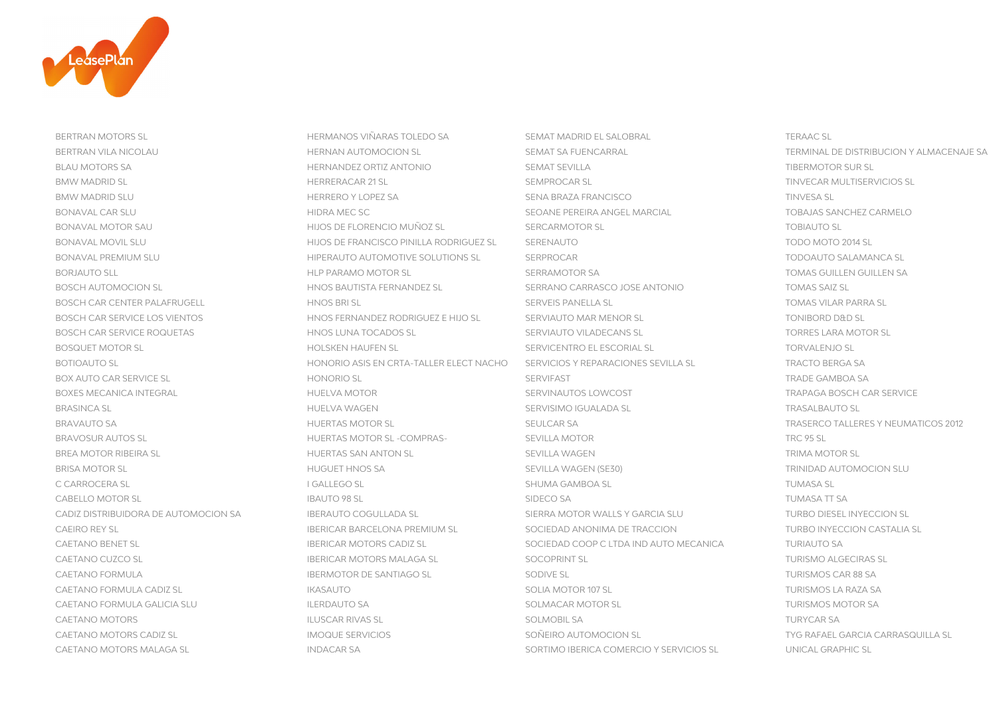

BERTRAN MOTORS SL STRANG SLOBERT HERMANOS VIÑARAS TOLEDO SA SEMAT MADRID EL SALOBRAL SEMAT MADRID EL SALOBRAL TERAAC SL

BERTRAN VILA NICOLAU **HERNAN AUTOMOCION SL** SEMAT SA FUENCARRAL SEMAT SA FUENCARRAL TERMINAL DE DISTRIBUCION Y ALMACENAJE SA BLAU MOTORS SA STANDER SA HERNANDEZ ORTIZ ANTONIO SEMAT SEVILLA SEMAT SEVILLA SEMAT SEVILLA SUR SLUB SLUB SLUB BMW MADRID SL HERRERACAR 21 SL SEMPROCAR SL TINVECAR MULTISERVICIOS SL BMW MADRID SLU NERRERO Y LOPEZ SA SENA BRAZA FRANCISCO SENA BRAZA FRANCISCO SENA SENA BRAZA FRANCISCO SENA BRAZA FRANCISCO SENA BRAZA FRANCISCO SENA BRAZA FRANCISCO SENA BRAZA FRANCISCO SENA BRAZA FRANCISCO SENA BRAZA FRAN BONAVAL CAR SLU SEOANE HIDRA MEC SC SEOANE PEREIRA ANGEL MARCIAL TOBAJAS SANCHEZ CARA SANCHEZ CARA SANCHEZ CAR BONAVAL MOTOR SAU TOBIAUTO SL HIJOS DE FLORENCIO MUÑOZ SL SERCARMOTOR SL SERCARMOTOR SL TOBIAUTO SL BONAVAL MOVIL SLU ET EN EN EN EN EN EN EN ENGLISCO PINILLA RODRIGUEZ SLADIS ERENAUTO BONAVAL PREMIUM SLU FORDOOS HIPERAUTO AUTOMOTIVE SOLUTIONS SL SERPROCAR BORIALITO SLL SA TOMAS GUILLEN GUILLEN SA SERRAMOTOR SA SERRAMOTOR SA SERRAMOTOR SA SERRAMOTOR SA TOMAS GUILLEN GUILLEN SA BOSCH AUTOMOCION SL **HNOS BAUTISTA FERNANDEZ SL** SERRANO CARRASCO JOSE ANTONIO BOSCH CAR CENTER PALAFRUGELL HNOS BRI SL SERVEIS PANELLA SL SERVEIS PANELLA SL BOSCH CAR SERVICE LOS VIENTOS **HOSTER HIJO SERNANDEZ RODRIGUEZ E HIJO SL** SERVIAUTO MAR MENOR SL TONIBORD DAD SL BOSCH CAR SERVICE ROQUETAS HNOS LUNA TOCADOS SL SERVIAUTO VILADECANS SL SERVIAUTO VILADECANS SL BOSQUET MOTOR SL SERVICENTRO EL ESCORIAL SL SERVICENTRO EL ESCORIAL SL BOTIOAUTO SL ENTRANCIONES SEVILLA SL HONORIO ASIS EN CRTA-TALLER ELECT NACHO SERVICIOS Y REPARACIONES SEVILLA SL BOX AUTO CAR SERVICE SL NORTH TRADE GAMBOA SAN HONORIO SL SERVIFAST SERVIFAST BOXES MECANICA INTEGRAL NEWSLOTE SERVINAL HUELVA MOTOR SERVINAUTOS LOWCOST SERVINAUTOS LOWCOST SERVICE SERVICE BRASINCA SL HUELVA WAGEN SERVISIMO IGUALADA SL TRASALBAUTO SL BRAVAUTO SA HUERTAS MOTOR SL SEULCAR SA TRASERCO TALLERES Y NEUMATICOS 2012 BRAVOSUR AUTOS SL HUERTAS MOTOR SL -COMPRAS- SEVILLA MOTOR TRC 95 SL BREA MOTOR RIBEIRA SLOGION AND HUERTAS SAN ANTON SLOGION AND SEVILLA WAGEN AND SEVILLA WAGEN AND SEVILLA WAGEN BRISA MOTOR SL SEVILLA WAGEN (SE30) SEVILLA WAGEN (SE30) SEVILLA WAGEN (SE30) SEVILLA WAGEN (SE30) SEVILLA WAGEN (SE30) SEVILLA WAGEN (SE30) SEVILLA WAGEN (SE30) SEVILLA WAGEN (SE30) SEVILLA WAGEN (SE30) SEVILLA WAGEN (SE3 C CARROCERA SL I GALLEGO SL SHUMA GAMBOA SL TUMASA SL CABELLO MOTOR SL SANTO SUN SAL SANTO 198 SL SIDECO SA SUNTO 199 ST SA SA SUNTO 199 SUNTO 199 SL SA SA SUNTO 19 CADIZ DISTRIBUIDORA DE AUTOMOCION SA IBERAUTO COGULLADA SL SIERRA MOTOR WALLS Y GARCIA SLU CAEIRO REY SL IBERICAR BARCELONA PREMIUM SL SOCIEDAD ANONIMA DE TRACCION CAETANO BENET SL TERRICAR INTERNATION COOP COOP CANOVER AND TOTAL TURIAL ORDER TO A TURIAL ORDER TO ANNO 1992 CAETANO CUZCO SL CONTRASTINGO ALGECIRAS SL IBERICAR MOTORS MALAGA SL SOCOPRINT SL SOCOPRINT SL SOCOPRINT SL SOCOPRINT SL SOCOPRINT SL SOCOPRINT SL SOCOPRINT SL SOCOPRINT SL SOCOPRINT SL SOCOPRINT SL SOCOPRINT SL SOCOPRINT CAETANO FORMULA ISLAMOTOR DE SANTIAGO SL SODIVE SL SODIVE SL TURISMOS CAR BERMOTOR DE SANTIAGO SL CAETANO FORMULA CADIZ SL INTERNATIONAL IKASAUTO SOLIA MOTOR 107 SL TURISMOS LA RAZA SALIA MOTOR 107 SL TURISMO CAETANO FORMULA GALICIA SLU ILERDAUTO SA SOLMACAR MOTOR SL TURISMOS MOTOR SL TURISMOS MOTOR SL TURISMOS MOTOR SL CAETANO MOTORS ILLUSCAR RIVAS SL SOLMOBIL SA TURISCAR RIVAS SL SOLMOBIL SA TURISCAR RIVAS SL CAETANO MOTORS CADIZ SL SON DESPONDE SERVICIOS SON ESPONDE SOÑEIRO AUTOMOCION SL SOÑETRO AUTOROCION SL SON SON DESPONDENT SUBSERVICIOS

CAETANO MOTORS MALAGA SL SORTIMO IBERICA COMERCIO Y SERVICIOS SL SORTIMO IBERICA COMERCIO Y SERVICIOS SL UNICAL GRAPHIC SL

TOBAJAS SANCHEZ CARMELO TODO MOTO 2014 SL TODOAUTO SALAMANCA SL **TOMAS SAIZ SL TOMAS VILAR PARRA SL TORRES LARA MOTOR SL TORVALENJO SL TRACTO BERGA SA TRADE GAMBOA SA TRASALBAUTO SL TRC 95 SL TUMASA SL** TURBO DIESEL INYECCION SL TURBO INYECCION CASTALIA SL **TURIAUTO SA** TURISMOS CAR 88 SA TURISMOS LA RAZA SA **TURISMOS MOTOR SA TURYCAR SA**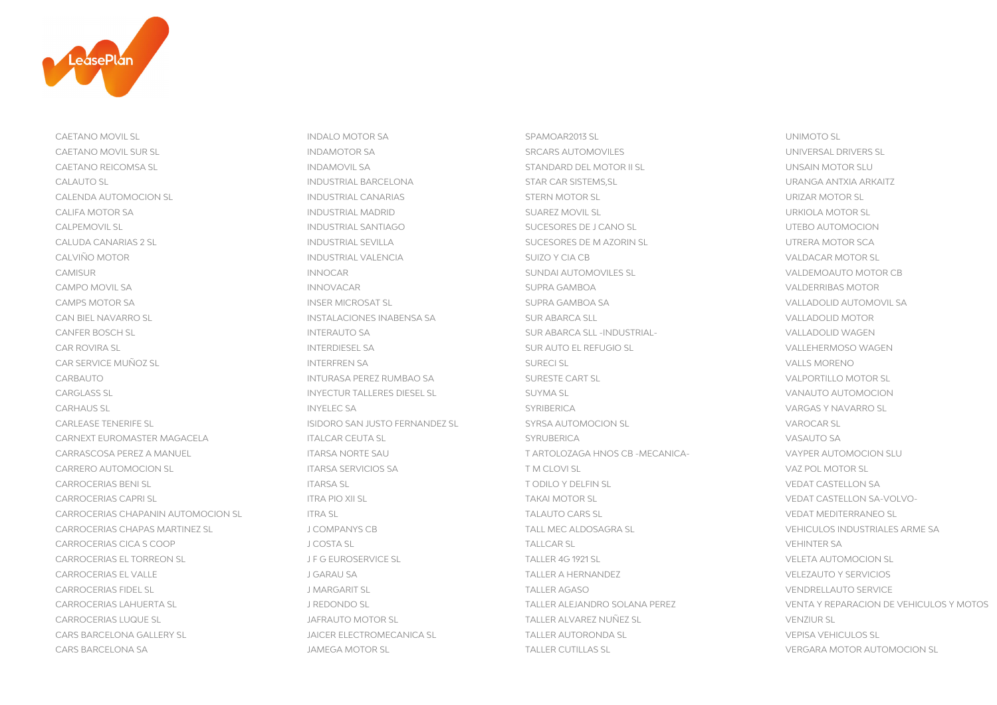

CAETANO MOVIL SL SOLUCION SUNDALO MOTOR SA SPAMOAR2013 SL SPAMOAR2013 SL SPAMOAR2013 SL UNIMOTO SL CAETANO MOVIL SUR SL INDAMOTOR SA SRCARS AUTOMOVILES CAETANO REICOMSA SL INDAMOVIL SA STANDARD DEL MOTOR II SL UNSAIN MOTOR SLU CALAUTO SL INDUSTRIAL BARCELONA STAR CAR SISTEMS,SL URANGA ANTXIA ARKAITZ CALENDA AUTOMOCION SL **INDUSTRIAL CANARIAS** STERN MOTOR SL URIZAR MOTOR SL CALIFA MOTOR SA INDUSTRIAL MADRID SUAREZ MOVIL SL CALPEMOVIL SL INDUSTRIAL SANTIAGO SUCESORES DE J CANO SL UTEBO AUTOMOCION CALUDA CANARIAS 2 SL INDUSTRIAL SEVILLA SUCESORES DE M AZORIN SL CALVIÑO MOTOR INDUSTRIAL VALENCIA SUIZO Y CIA CB VALDACAR MOTOR SL CAMISUR INNOCAR SUNDAI AUTOMOVILES SL VALDEMOAUTO MOTOR CB CAMPO MOVIL SA INNOVACAR SUPRA GAMBOA VALDERRIBAS MOTOR CAMPS MOTOR SA INSER MICROSAT SL SUPRA GAMBOA SA VALLADOLID AUTOMOVIL SA CAN BIEL NAVARRO SL INSTALACIONES INABENSA SA SUR ABARCA SLL VALLADOLID MOTOR CANFER BOSCH SL INTERAUTO SA SUR ABARCA SLL -INDUSTRIAL-CAR ROVIRA SL SA SUR AUTO EL REFUGIO SL SUR AUTO EL REFUGIO SL SUR AUTO EL REFUGIO SL SUR AUTO EL REFUGIO SL SUR AUTO EL REFUGIO SL SUR AUTO EL REFUGIO SL SUR AUTO EL REFUGIO SL SUR AUTO EL REFUGIO SL SUR AUTO EL REFUGIO S CAR SERVICE MUÑOZ SL **INTERFREN SA** SURECI SL VALLS MORE SURECI SL VALLS MORE SURECI SL CARBAUTO **INTURASA PEREZ RUMBAO SA SURESTE CART SL** VALUES ON SURESTE CART SL CARGLASS SL INYECTUR TALLERES DIESEL SL SUYMA SL VANAUTO AUTOMOCION CARHAUS SL INYELEC SA SYRIBERICA VARGAS Y NAVARRO SL CARLEASE TENERIFE SL ISIDORO SAN JUSTO FERNANDEZ SL SYRSA AUTOMOCION SL CARNEXT EUROMASTER MAGACELA TERRAIN TERRAIN ITALCAR CEUTA SL STRUBERICA STRUBERICA SANCHO SANCHO SANCHO SANCHO SA CARRASCOSA PEREZ A MANUEL ITARSA NORTE SAU T ARTOLOZAGA HNOS CB -MECANICA- VAYPER AUTOMOCION SLU CARRERO AUTOMOCION SL ITARSA SERVICIOS SA T M CLOVI SL VAZ POL MOTOR SL CARROCERIAS BENI SL ITARSA SL T ODILO Y DELFIN SL VEDAT CASTELLON SA CARROCERIAS CAPRI SL ITRA PIO XII SL TAKAI MOTOR SL VEDAT CASTELLON SA-VOLVO-CARROCERIAS CHAPANIN AUTOMOCION SL ITRA SL TALAUTO CARS SL VEDAT MEDITERRANEO SL CARROCERIAS CHAPAS MARTINEZ SL J COMPANYS CB TALL MEC ALDOSAGRA SL VEHICULOS INDUSTRIALES ARME SA CARROCERIAS CICA S COOP JOSTA SL JOSTA SL JOSTA SL JOSTA SL JOSTA SL JOSTA SL JOSTA SL JOSTA SL JOSTA SL JOSTA SL JOSTA SL JOSTA SL JOSTA SL JOSTA SL JOSTA SL JOSTA SL JOSTA SL JOSTA SL JOSTA SL JOSTA SL JOSTA SL JOSTA SL CARROCERIAS EL TORREON SL J F G EUROSERVICE SL TALLER 4G 1921 SL VELETA AUTOMOCION SL CARROCERIAS EL VALLE J GARAU SA TALLER A HERNANDEZ VELEZAUTO Y SERVICIOS CARROCERIAS FIDEL SL J MARGARIT SL TALLER AGASO VENDRELLAUTO SERVICE CARROCERIAS LUQUE SL **STATE SUBSEX SUBSEX SUBSEX SUBSEX SL** JAFRAUTO MOTOR SL **TALLER ALVAREZ NUÑEZ SL** CARS BARCELONA GALLERY SL JAICER ELECTROMECANICA SL TALLER AUTORONDA SL VEPISA VEHICULOS SL CARS BARCELONA SA JAMEGA MOTOR SL TALLER CUTILLAS SL VERGARA MOTOR AUTOMOCION SL

UNIVERSAL DRIVERS SL **URIZAR MOTOR SL URKIOLA MOTOR SL** UTRERA MOTOR SCA **VALLADOLID WAGEN VALLS MORENO** VALPORTILLO MOTOR SL VANAUTO AUTOMOCION **VAROCAR SL VEHINTER SA** CARROCERIAS LAHUERTA SL J REDONDO SL TALLER ALEJANDRO SOLANA PEREZ VENTA Y REPARACION DE VEHICULOS Y MOTOS **VENZIUR SL VEPISA VEHICULOS SL**